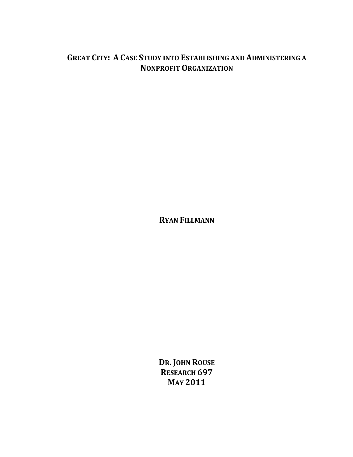# **GREAT CITY: A CASE STUDY INTO ESTABLISHING AND ADMINISTERING A NONPROFIT ORGANIZATION**

**RYAN FILLMANN**

**DR. JOHN ROUSE RESEARCH 697 MAY 2011**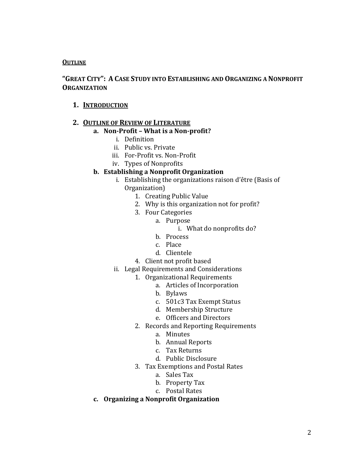# **OUTLINE**

# **"GREAT CITY": A CASE STUDY INTO ESTABLISHING AND ORGANIZING A NONPROFIT ORGANIZATION**

# **1. INTRODUCTION**

# **2. OUTLINE OF REVIEW OF LITERATURE**

# **a. Non-Profit – What is a Non-profit?**

- i. Definition
- ii. Public vs. Private
- iii. For-Profit vs. Non-Profit
- iv. Types of Nonprofits

# **b. Establishing a Nonprofit Organization**

- i. Establishing the organizations raison d'être (Basis of Organization)
	- 1. Creating Public Value
	- 2. Why is this organization not for profit?
	- 3. Four Categories
		- a. Purpose
			- i. What do nonprofits do?
			- b. Process
			- c. Place
			- d. Clientele
	- 4. Client not profit based
- ii. Legal Requirements and Considerations
	- 1. Organizational Requirements
		- a. Articles of Incorporation
		- b. Bylaws
		- c. 501c3 Tax Exempt Status
		- d. Membership Structure
		- e. Officers and Directors
	- 2. Records and Reporting Requirements
		- a. Minutes
		- b. Annual Reports
		- c. Tax Returns
		- d. Public Disclosure
	- 3. Tax Exemptions and Postal Rates
		- a. Sales Tax
		- b. Property Tax
		- c. Postal Rates

# **c. Organizing a Nonprofit Organization**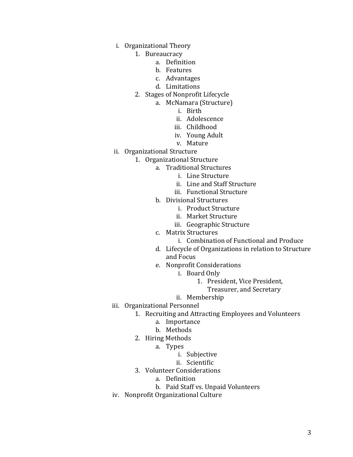- i. Organizational Theory
	- 1. Bureaucracy
		- a. Definition
		- b. Features
		- c. Advantages
		- d. Limitations
	- 2. Stages of Nonprofit Lifecycle
		- a. McNamara (Structure)
			- i. Birth
				- ii. Adolescence
				- iii. Childhood
				- iv. Young Adult
				- v. Mature
- ii. Organizational Structure
	- 1. Organizational Structure
		- a. Traditional Structures
			- i. Line Structure
			- ii. Line and Staff Structure
			- iii. Functional Structure
		- b. Divisional Structures
			- i. Product Structure
			- ii. Market Structure
			- iii. Geographic Structure
		- c. Matrix Structures
			- i. Combination of Functional and Produce
		- d. Lifecycle of Organizations in relation to Structure and Focus
		- e. Nonprofit Considerations
			- i. Board Only
				- 1. President, Vice President,
					- Treasurer, and Secretary
			- ii. Membership
- iii. Organizational Personnel
	- 1. Recruiting and Attracting Employees and Volunteers
		- a. Importance
		- b. Methods
	- 2. Hiring Methods
		- a. Types
			- i. Subjective
			- ii. Scientific
	- 3. Volunteer Considerations
		- a. Definition
		- b. Paid Staff vs. Unpaid Volunteers
- iv. Nonprofit Organizational Culture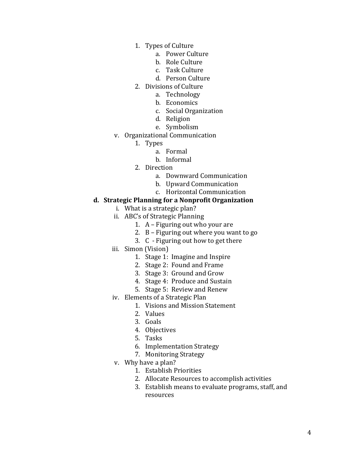- 1. Types of Culture
	- a. Power Culture
	- b. Role Culture
	- c. Task Culture
	- d. Person Culture
- 2. Divisions of Culture
	- a. Technology
	- b. Economics
	- c. Social Organization
	- d. Religion
	- e. Symbolism
- v. Organizational Communication
	- 1. Types
		- a. Formal
		- b. Informal
	- 2. Direction
		- a. Downward Communication
		- b. Upward Communication
		- c. Horizontal Communication

## **d. Strategic Planning for a Nonprofit Organization**

- i. What is a strategic plan?
- ii. ABC's of Strategic Planning
	- 1. A Figuring out who your are
	- 2. B Figuring out where you want to go
	- 3. C Figuring out how to get there
- iii. Simon (Vision)
	- 1. Stage 1: Imagine and Inspire
	- 2. Stage 2: Found and Frame
	- 3. Stage 3: Ground and Grow
	- 4. Stage 4: Produce and Sustain
	- 5. Stage 5: Review and Renew
- iv. Elements of a Strategic Plan
	- 1. Visions and Mission Statement
	- 2. Values
	- 3. Goals
	- 4. Objectives
	- 5. Tasks
	- 6. Implementation Strategy
	- 7. Monitoring Strategy
- v. Why have a plan?
	- 1. Establish Priorities
	- 2. Allocate Resources to accomplish activities
	- 3. Establish means to evaluate programs, staff, and resources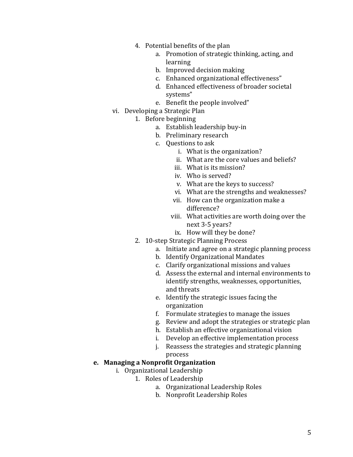- 4. Potential benefits of the plan
	- a. Promotion of strategic thinking, acting, and learning
	- b. Improved decision making
	- c. Enhanced organizational effectiveness"
	- d. Enhanced effectiveness of broader societal systems"
	- e. Benefit the people involved"
- vi. Developing a Strategic Plan
	- 1. Before beginning
		- a. Establish leadership buy-in
		- b. Preliminary research
		- c. Questions to ask
			- i. What is the organization?
			- ii. What are the core values and beliefs?
			- iii. What is its mission?
			- iv. Who is served?
			- v. What are the keys to success?
			- vi. What are the strengths and weaknesses?
			- vii. How can the organization make a difference?
			- viii. What activities are worth doing over the next 3-5 years?
				- ix. How will they be done?
	- 2. 10-step Strategic Planning Process
		- a. Initiate and agree on a strategic planning process
		- b. Identify Organizational Mandates
		- c. Clarify organizational missions and values
		- d. Assess the external and internal environments to identify strengths, weaknesses, opportunities, and threats
		- e. Identify the strategic issues facing the organization
		- f. Formulate strategies to manage the issues
		- g. Review and adopt the strategies or strategic plan
		- h. Establish an effective organizational vision
		- i. Develop an effective implementation process
		- j. Reassess the strategies and strategic planning process

# **e. Managing a Nonprofit Organization**

- i. Organizational Leadership
	- 1. Roles of Leadership
		- a. Organizational Leadership Roles
		- b. Nonprofit Leadership Roles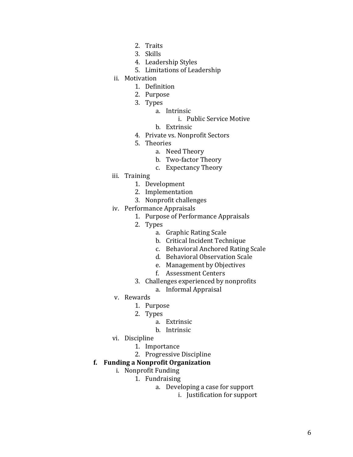- 2. Traits
- 3. Skills
- 4. Leadership Styles
- 5. Limitations of Leadership
- ii. Motivation
	- 1. Definition
	- 2. Purpose
	- 3. Types
		- a. Intrinsic
			- i. Public Service Motive
			- b. Extrinsic
	- 4. Private vs. Nonprofit Sectors
	- 5. Theories
		- a. Need Theory
		- b. Two-factor Theory
		- c. Expectancy Theory
- iii. Training
	- 1. Development
	- 2. Implementation
	- 3. Nonprofit challenges
- iv. Performance Appraisals
	- 1. Purpose of Performance Appraisals
	- 2. Types
		- a. Graphic Rating Scale
		- b. Critical Incident Technique
		- c. Behavioral Anchored Rating Scale
		- d. Behavioral Observation Scale
		- e. Management by Objectives
		- f. Assessment Centers
	- 3. Challenges experienced by nonprofits
		- a. Informal Appraisal
- v. Rewards
	- 1. Purpose
	- 2. Types
		- a. Extrinsic
			- b. Intrinsic
- vi. Discipline
	- 1. Importance
	- 2. Progressive Discipline

# **f. Funding a Nonprofit Organization**

- i. Nonprofit Funding
	- 1. Fundraising
		- a. Developing a case for support
			- i. Justification for support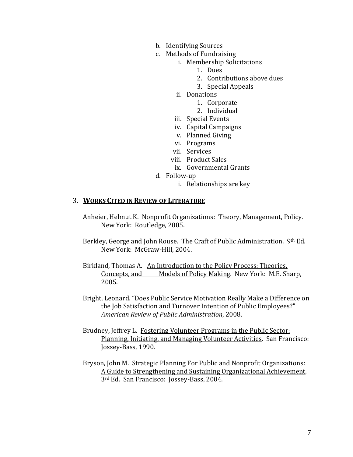- b. Identifying Sources
- c. Methods of Fundraising
	- i. Membership Solicitations
		- 1. Dues
		- 2. Contributions above dues
		- 3. Special Appeals
	- ii. Donations
		- 1. Corporate
		- 2. Individual
	- iii. Special Events
	- iv. Capital Campaigns
	- v. Planned Giving
	- vi. Programs
	- vii. Services
	- viii. Product Sales
	- ix. Governmental Grants
- d. Follow-up
	- i. Relationships are key

## 3. **WORKS CITED IN REVIEW OF LITERATURE**

- Anheier, Helmut K. Nonprofit Organizations: Theory, Management, Policy. New York: Routledge, 2005.
- Berkley, George and John Rouse. The Craft of Public Administration. 9th Ed. New York: McGraw-Hill, 2004.
- Birkland, Thomas A. An Introduction to the Policy Process: Theories, Concepts, and Models of Policy Making*.* New York: M.E. Sharp, 2005.
- Bright, Leonard. "Does Public Service Motivation Really Make a Difference on the Job Satisfaction and Turnover Intention of Public Employees?" *American Review of Public Administration*, 2008.
- Brudney, Jeffrey L. Fostering Volunteer Programs in the Public Sector: Planning, Initiating, and Managing Volunteer Activities. San Francisco: Jossey-Bass, 1990.
- Bryson, John M. Strategic Planning For Public and Nonprofit Organizations: A Guide to Strengthening and Sustaining Organizational Achievement. 3rd Ed. San Francisco: Jossey-Bass, 2004.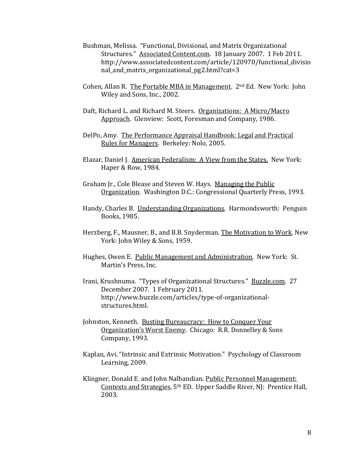- Bushman, Melissa. "Functional, Divisional, and Matrix Organizational Structures." Associated Content.com. 18 January 2007. 1 Feb 2011. http://www.associatedcontent.com/article/120970/functional\_divisio nal\_and\_matrix\_organizational\_pg2.html?cat=3
- Cohen, Allan R. The Portable MBA in Management.  $2<sup>nd</sup> Ed$ . New York: John Wiley and Sons, Inc., 2002.
- Daft, Richard L. and Richard M. Steers. Organizations: A Micro/Macro Approach. Glenview: Scott, Foresman and Company, 1986.
- DelPo, Amy. The Performance Appraisal Handbook: Legal and Practical Rules for Managers. Berkeley: Nolo, 2005.
- Elazar, Daniel J. American Federalism: A View from the States. New York: Haper & Row, 1984.
- Graham Jr., Cole Blease and Steven W. Hays. Managing the Public Organization. Washington D.C.: Congressional Quarterly Press, 1993.
- Handy, Charles B. Understanding Organizations*.* Harmondsworth: Penguin Books, 1985.
- Herzberg, F., Mausner, B., and B.B. Snyderman. The Motivation to Work. New York: John Wiley & Sons, 1959.
- Hughes, Owen E. Public Management and Administration*.* New York: St. Martin's Press, Inc.
- Irani, Krushnuma. "Types of Organizational Structures." Buzzle.com. 27 December 2007. 1 February 2011. http://www.buzzle.com/articles/type-of-organizationalstructures.html.
- Johnston, Kenneth. Busting Bureaucracy: How to Conquer Your Organization's Worst Enemy*.* Chicago: R.R. Donnelley & Sons Company, 1993.
- Kaplan, Avi. "Intrinsic and Extrinsic Motivation." Psychology of Classroom Learning, 2009.
- Klingner, Donald E. and John Nalbandian. Public Personnel Management: Contexts and Strategies*,* 5th ED. Upper Saddle River, NJ: Prentice Hall, 2003.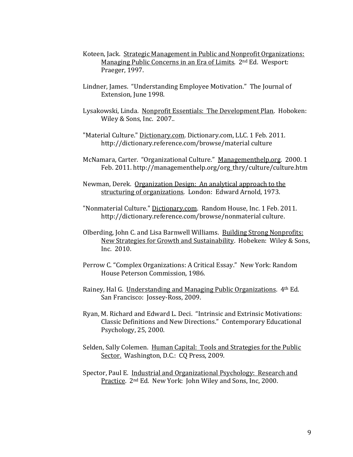- Koteen, Jack. Strategic Management in Public and Nonprofit Organizations: Managing Public Concerns in an Era of Limits. 2nd Ed. Wesport: Praeger, 1997.
- Lindner, James. "Understanding Employee Motivation." The Journal of Extension, June 1998.
- Lysakowski, Linda. Nonprofit Essentials: The Development Plan. Hoboken: Wiley & Sons, Inc. 2007..
- "Material Culture." Dictionary.com. Dictionary.com, LLC. 1 Feb. 2011. http://dictionary.reference.com/browse/material culture
- McNamara, Carter. "Organizational Culture." Managementhelp.org. 2000. 1 Feb. 2011. http://managementhelp.org/org\_thry/culture/culture.htm
- Newman, Derek. Organization Design: An analytical approach to the structuring of organizations*.* London: Edward Arnold, 1973.
- "Nonmaterial Culture." Dictionary.com. Random House, Inc. 1 Feb. 2011. http://dictionary.reference.com/browse/nonmaterial culture.
- Olberding, John C. and Lisa Barnwell Williams. Building Strong Nonprofits: New Strategies for Growth and Sustainability. Hobeken: Wiley & Sons, Inc. 2010.
- Perrow C. "Complex Organizations: A Critical Essay." New York: Random House Peterson Commission, 1986.
- Rainey, Hal G. Understanding and Managing Public Organizations. 4th Ed. San Francisco: Jossey-Ross, 2009.
- Ryan, M. Richard and Edward L. Deci. "Intrinsic and Extrinsic Motivations: Classic Definitions and New Directions." Contemporary Educational Psychology, 25, 2000.
- Selden, Sally Colemen. Human Capital: Tools and Strategies for the Public Sector.Washington, D.C.: CQ Press, 2009.
- Spector, Paul E. Industrial and Organizational Psychology: Research and Practice. 2nd Ed. New York: John Wiley and Sons, Inc, 2000.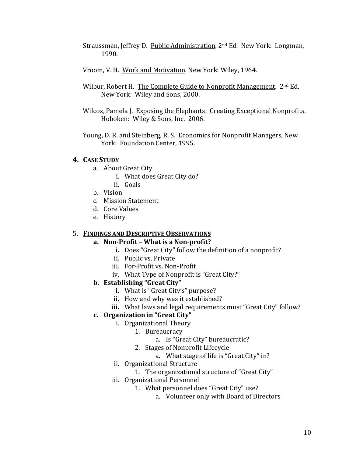- Straussman, Jeffrey D. Public Administration*.* 2nd Ed*.* New York: Longman, 1990.
- Vroom, V. H. Work and Motivation*.* New York: Wiley, 1964.
- Wilbur, Robert H. The Complete Guide to Nonprofit Management. 2<sup>nd</sup> Ed. New York: Wiley and Sons, 2000.
- Wilcox, Pamela J. Exposing the Elephants: Creating Exceptional Nonprofits. Hoboken: Wiley & Sons, Inc. 2006.
- Young, D. R. and Steinberg, R. S. Economics for Nonprofit Managers, New York: Foundation Center, 1995.

# **4. CASE STUDY**

- a. About Great City
	- i. What does Great City do?
	- ii. Goals
- b. Vision
- c. Mission Statement
- d. Core Values
- e. History

# 5. **FINDINGS AND DESCRIPTIVE OBSERVATIONS**

# **a. Non-Profit – What is a Non-profit?**

- **i.** Does "Great City" follow the definition of a nonprofit?
- ii. Public vs. Private
- iii. For-Profit vs. Non-Profit
- iv. What Type of Nonprofit is "Great City?"

# **b. Establishing "Great City"**

- **i.** What is "Great City's" purpose?
- **ii.** How and why was it established?
- **iii.** What laws and legal requirements must "Great City" follow?

# **c. Organization in "Great City"**

- i. Organizational Theory
	- 1. Bureaucracy
		- a. Is "Great City" bureaucratic?
	- 2. Stages of Nonprofit Lifecycle
		- a. What stage of life is "Great City" in?
- ii. Organizational Structure
	- 1. The organizational structure of "Great City"
- iii. Organizational Personnel
	- 1. What personnel does "Great City" use?
		- a. Volunteer only with Board of Directors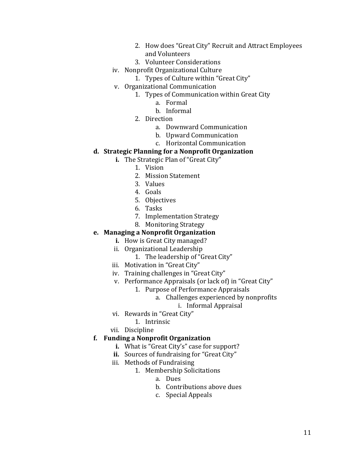- 2. How does "Great City" Recruit and Attract Employees and Volunteers
- 3. Volunteer Considerations
- iv. Nonprofit Organizational Culture
	- 1. Types of Culture within "Great City"
- v. Organizational Communication
	- 1. Types of Communication within Great City
		- a. Formal
		- b. Informal
	- 2. Direction
		- a. Downward Communication
		- b. Upward Communication
		- c. Horizontal Communication

# **d. Strategic Planning for a Nonprofit Organization**

- **i.** The Strategic Plan of "Great City"
	- 1. Vision
	- 2. Mission Statement
	- 3. Values
	- 4. Goals
	- 5. Objectives
	- 6. Tasks
	- 7. Implementation Strategy
	- 8. Monitoring Strategy

# **e. Managing a Nonprofit Organization**

- **i.** How is Great City managed?
- ii. Organizational Leadership
	- 1. The leadership of "Great City"
- iii. Motivation in "Great City"
- iv. Training challenges in "Great City"
- v. Performance Appraisals (or lack of) in "Great City"
	- 1. Purpose of Performance Appraisals
		- a. Challenges experienced by nonprofits
			- i. Informal Appraisal
- vi. Rewards in "Great City"
	- 1. Intrinsic
- vii. Discipline

## **f. Funding a Nonprofit Organization**

- **i.** What is "Great City's" case for support?
- **ii.** Sources of fundraising for "Great City"
- iii. Methods of Fundraising
	- 1. Membership Solicitations
		- a. Dues
		- b. Contributions above dues
		- c. Special Appeals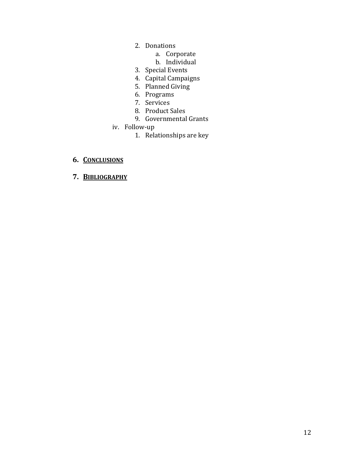- 2. Donations
	- a. Corporate
	- b. Individual
- 3. Special Events
- 4. Capital Campaigns
- 5. Planned Giving
- 6. Programs
- 7. Services
- 8. Product Sales
- 9. Governmental Grants
- iv. Follow-up
	- 1. Relationships are key

# **6. CONCLUSIONS**

**7. BIBLIOGRAPHY**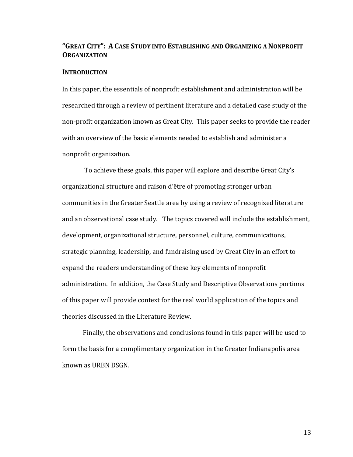# **"GREAT CITY": A CASE STUDY INTO ESTABLISHING AND ORGANIZING A NONPROFIT ORGANIZATION**

#### **INTRODUCTION**

In this paper, the essentials of nonprofit establishment and administration will be researched through a review of pertinent literature and a detailed case study of the non-profit organization known as Great City. This paper seeks to provide the reader with an overview of the basic elements needed to establish and administer a nonprofit organization.

To achieve these goals, this paper will explore and describe Great City's organizational structure and raison d'être of promoting stronger urban communities in the Greater Seattle area by using a review of recognized literature and an observational case study. The topics covered will include the establishment, development, organizational structure, personnel, culture, communications, strategic planning, leadership, and fundraising used by Great City in an effort to expand the readers understanding of these key elements of nonprofit administration. In addition, the Case Study and Descriptive Observations portions of this paper will provide context for the real world application of the topics and theories discussed in the Literature Review.

Finally, the observations and conclusions found in this paper will be used to form the basis for a complimentary organization in the Greater Indianapolis area known as URBN DSGN.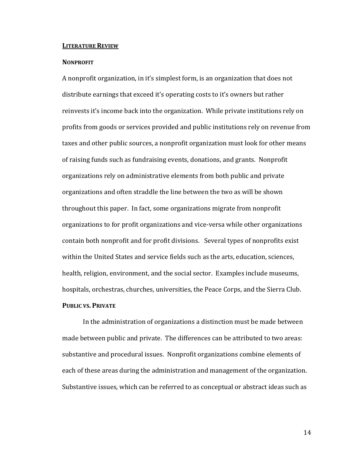#### **LITERATURE REVIEW**

#### **NONPROFIT**

A nonprofit organization, in it's simplest form, is an organization that does not distribute earnings that exceed it's operating costs to it's owners but rather reinvests it's income back into the organization. While private institutions rely on profits from goods or services provided and public institutions rely on revenue from taxes and other public sources, a nonprofit organization must look for other means of raising funds such as fundraising events, donations, and grants. Nonprofit organizations rely on administrative elements from both public and private organizations and often straddle the line between the two as will be shown throughout this paper. In fact, some organizations migrate from nonprofit organizations to for profit organizations and vice-versa while other organizations contain both nonprofit and for profit divisions. Several types of nonprofits exist within the United States and service fields such as the arts, education, sciences, health, religion, environment, and the social sector. Examples include museums, hospitals, orchestras, churches, universities, the Peace Corps, and the Sierra Club. **PUBLIC VS. PRIVATE**

In the administration of organizations a distinction must be made between made between public and private. The differences can be attributed to two areas: substantive and procedural issues. Nonprofit organizations combine elements of each of these areas during the administration and management of the organization. Substantive issues, which can be referred to as conceptual or abstract ideas such as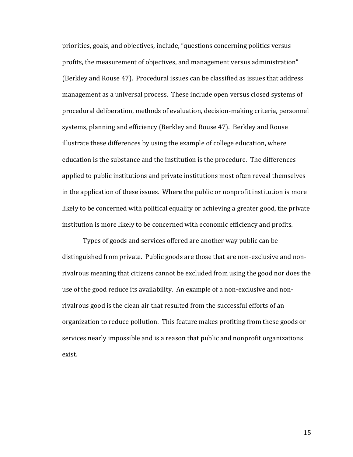priorities, goals, and objectives, include, "questions concerning politics versus profits, the measurement of objectives, and management versus administration" (Berkley and Rouse 47). Procedural issues can be classified as issues that address management as a universal process. These include open versus closed systems of procedural deliberation, methods of evaluation, decision-making criteria, personnel systems, planning and efficiency (Berkley and Rouse 47). Berkley and Rouse illustrate these differences by using the example of college education, where education is the substance and the institution is the procedure. The differences applied to public institutions and private institutions most often reveal themselves in the application of these issues. Where the public or nonprofit institution is more likely to be concerned with political equality or achieving a greater good, the private institution is more likely to be concerned with economic efficiency and profits.

Types of goods and services offered are another way public can be distinguished from private. Public goods are those that are non-exclusive and nonrivalrous meaning that citizens cannot be excluded from using the good nor does the use of the good reduce its availability. An example of a non-exclusive and nonrivalrous good is the clean air that resulted from the successful efforts of an organization to reduce pollution. This feature makes profiting from these goods or services nearly impossible and is a reason that public and nonprofit organizations exist.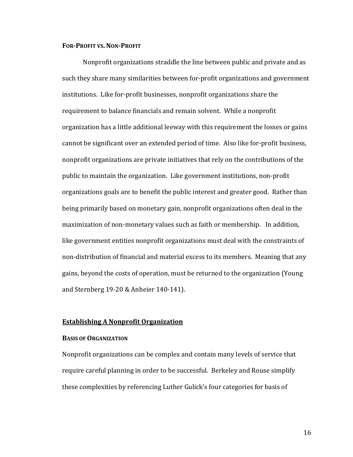#### **FOR-PROFIT VS.NON-PROFIT**

Nonprofit organizations straddle the line between public and private and as such they share many similarities between for-profit organizations and government institutions. Like for-profit businesses, nonprofit organizations share the requirement to balance financials and remain solvent. While a nonprofit organization has a little additional leeway with this requirement the losses or gains cannot be significant over an extended period of time. Also like for-profit business, nonprofit organizations are private initiatives that rely on the contributions of the public to maintain the organization. Like government institutions, non-profit organizations goals are to benefit the public interest and greater good. Rather than being primarily based on monetary gain, nonprofit organizations often deal in the maximization of non-monetary values such as faith or membership. In addition, like government entities nonprofit organizations must deal with the constraints of non-distribution of financial and material excess to its members. Meaning that any gains, beyond the costs of operation, must be returned to the organization (Young and Sternberg 19-20 & Anheier 140-141).

#### **Establishing A Nonprofit Organization**

#### **BASIS OF ORGANIZATION**

Nonprofit organizations can be complex and contain many levels of service that require careful planning in order to be successful. Berkeley and Rouse simplify these complexities by referencing Luther Gulick's four categories for basis of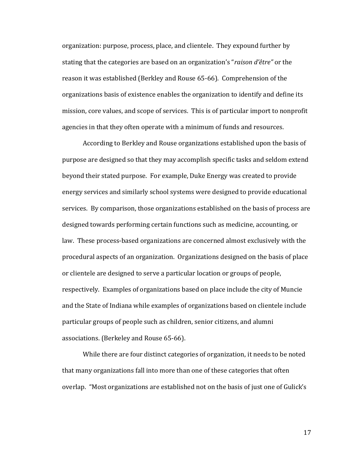organization: purpose, process, place, and clientele. They expound further by stating that the categories are based on an organization's "*raison d'être"* or the reason it was established (Berkley and Rouse 65-66). Comprehension of the organizations basis of existence enables the organization to identify and define its mission, core values, and scope of services. This is of particular import to nonprofit agencies in that they often operate with a minimum of funds and resources.

According to Berkley and Rouse organizations established upon the basis of purpose are designed so that they may accomplish specific tasks and seldom extend beyond their stated purpose. For example, Duke Energy was created to provide energy services and similarly school systems were designed to provide educational services. By comparison, those organizations established on the basis of process are designed towards performing certain functions such as medicine, accounting, or law. These process-based organizations are concerned almost exclusively with the procedural aspects of an organization. Organizations designed on the basis of place or clientele are designed to serve a particular location or groups of people, respectively. Examples of organizations based on place include the city of Muncie and the State of Indiana while examples of organizations based on clientele include particular groups of people such as children, senior citizens, and alumni associations. (Berkeley and Rouse 65-66).

While there are four distinct categories of organization, it needs to be noted that many organizations fall into more than one of these categories that often overlap. "Most organizations are established not on the basis of just one of Gulick's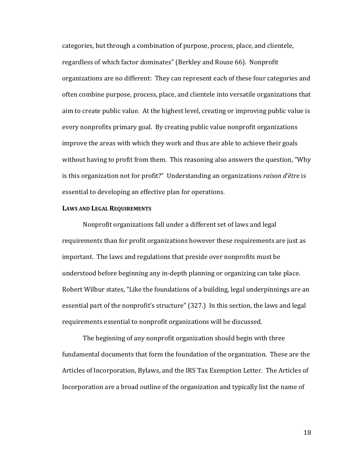categories, but through a combination of purpose, process, place, and clientele, regardless of which factor dominates" (Berkley and Rouse 66). Nonprofit organizations are no different: They can represent each of these four categories and often combine purpose, process, place, and clientele into versatile organizations that aim to create public value. At the highest level, creating or improving public value is every nonprofits primary goal. By creating public value nonprofit organizations improve the areas with which they work and thus are able to achieve their goals without having to profit from them. This reasoning also answers the question, "Why is this organization not for profit?" Understanding an organizations *raison d'être* is essential to developing an effective plan for operations.

#### **LAWS AND LEGAL REQUIREMENTS**

Nonprofit organizations fall under a different set of laws and legal requirements than for profit organizations however these requirements are just as important. The laws and regulations that preside over nonprofits must be understood before beginning any in-depth planning or organizing can take place. Robert Wilbur states, "Like the foundations of a building, legal underpinnings are an essential part of the nonprofit's structure" (327.) In this section, the laws and legal requirements essential to nonprofit organizations will be discussed.

The beginning of any nonprofit organization should begin with three fundamental documents that form the foundation of the organization. These are the Articles of Incorporation, Bylaws, and the IRS Tax Exemption Letter. The Articles of Incorporation are a broad outline of the organization and typically list the name of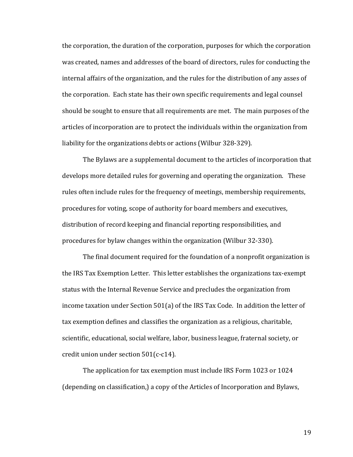the corporation, the duration of the corporation, purposes for which the corporation was created, names and addresses of the board of directors, rules for conducting the internal affairs of the organization, and the rules for the distribution of any asses of the corporation. Each state has their own specific requirements and legal counsel should be sought to ensure that all requirements are met. The main purposes of the articles of incorporation are to protect the individuals within the organization from liability for the organizations debts or actions (Wilbur 328-329).

The Bylaws are a supplemental document to the articles of incorporation that develops more detailed rules for governing and operating the organization. These rules often include rules for the frequency of meetings, membership requirements, procedures for voting, scope of authority for board members and executives, distribution of record keeping and financial reporting responsibilities, and procedures for bylaw changes within the organization (Wilbur 32-330).

The final document required for the foundation of a nonprofit organization is the IRS Tax Exemption Letter. This letter establishes the organizations tax-exempt status with the Internal Revenue Service and precludes the organization from income taxation under Section 501(a) of the IRS Tax Code. In addition the letter of tax exemption defines and classifies the organization as a religious, charitable, scientific, educational, social welfare, labor, business league, fraternal society, or credit union under section 501(c-c14).

The application for tax exemption must include IRS Form 1023 or 1024 (depending on classification,) a copy of the Articles of Incorporation and Bylaws,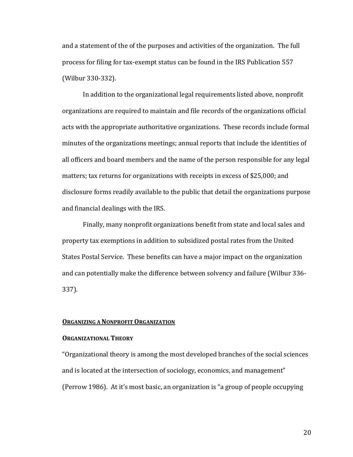and a statement of the of the purposes and activities of the organization. The full process for filing for tax-exempt status can be found in the IRS Publication 557 (Wilbur 330-332).

In addition to the organizational legal requirements listed above, nonprofit organizations are required to maintain and file records of the organizations official acts with the appropriate authoritative organizations. These records include formal minutes of the organizations meetings; annual reports that include the identities of all officers and board members and the name of the person responsible for any legal matters; tax returns for organizations with receipts in excess of \$25,000; and disclosure forms readily available to the public that detail the organizations purpose and financial dealings with the IRS.

Finally, many nonprofit organizations benefit from state and local sales and property tax exemptions in addition to subsidized postal rates from the United States Postal Service. These benefits can have a major impact on the organization and can potentially make the difference between solvency and failure (Wilbur 336- 337).

#### **ORGANIZING A NONPROFIT ORGANIZATION**

#### **ORGANIZATIONAL THEORY**

"Organizational theory is among the most developed branches of the social sciences and is located at the intersection of sociology, economics, and management" (Perrow 1986). At it's most basic, an organization is "a group of people occupying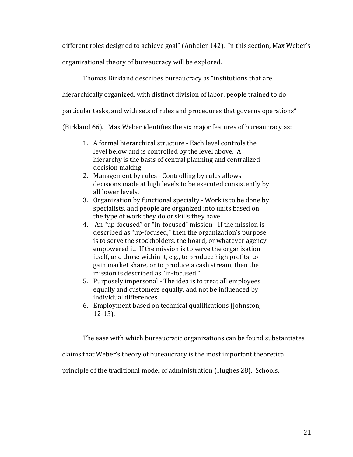different roles designed to achieve goal" (Anheier 142). In this section, Max Weber's

organizational theory of bureaucracy will be explored.

Thomas Birkland describes bureaucracy as "institutions that are

hierarchically organized, with distinct division of labor, people trained to do

particular tasks, and with sets of rules and procedures that governs operations"

(Birkland 66). Max Weber identifies the six major features of bureaucracy as:

- 1. A formal hierarchical structure Each level controls the level below and is controlled by the level above. A hierarchy is the basis of central planning and centralized decision making.
- 2. Management by rules Controlling by rules allows decisions made at high levels to be executed consistently by all lower levels.
- 3. Organization by functional specialty Work is to be done by specialists, and people are organized into units based on the type of work they do or skills they have.
- 4. An "up-focused" or "in-focused" mission If the mission is described as "up-focused," then the organization's purpose is to serve the stockholders, the board, or whatever agency empowered it. If the mission is to serve the organization itself, and those within it, e.g., to produce high profits, to gain market share, or to produce a cash stream, then the mission is described as "in-focused."
- 5. Purposely impersonal The idea is to treat all employees equally and customers equally, and not be influenced by individual differences.
- 6. Employment based on technical qualifications (Johnston, 12-13).

The ease with which bureaucratic organizations can be found substantiates

claims that Weber's theory of bureaucracy is the most important theoretical

principle of the traditional model of administration (Hughes 28). Schools,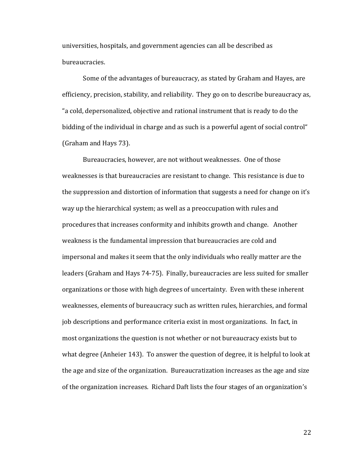universities, hospitals, and government agencies can all be described as bureaucracies.

Some of the advantages of bureaucracy, as stated by Graham and Hayes, are efficiency, precision, stability, and reliability. They go on to describe bureaucracy as, "a cold, depersonalized, objective and rational instrument that is ready to do the bidding of the individual in charge and as such is a powerful agent of social control" (Graham and Hays 73).

Bureaucracies, however, are not without weaknesses. One of those weaknesses is that bureaucracies are resistant to change. This resistance is due to the suppression and distortion of information that suggests a need for change on it's way up the hierarchical system; as well as a preoccupation with rules and procedures that increases conformity and inhibits growth and change. Another weakness is the fundamental impression that bureaucracies are cold and impersonal and makes it seem that the only individuals who really matter are the leaders (Graham and Hays 74-75). Finally, bureaucracies are less suited for smaller organizations or those with high degrees of uncertainty. Even with these inherent weaknesses, elements of bureaucracy such as written rules, hierarchies, and formal job descriptions and performance criteria exist in most organizations. In fact, in most organizations the question is not whether or not bureaucracy exists but to what degree (Anheier 143). To answer the question of degree, it is helpful to look at the age and size of the organization. Bureaucratization increases as the age and size of the organization increases. Richard Daft lists the four stages of an organization's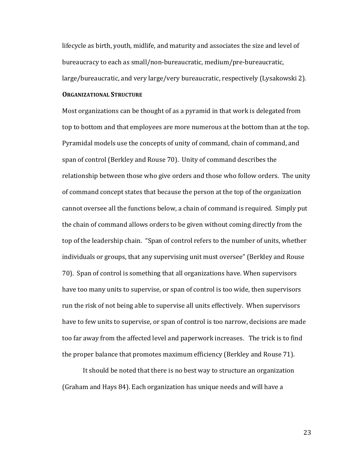lifecycle as birth, youth, midlife, and maturity and associates the size and level of bureaucracy to each as small/non-bureaucratic, medium/pre-bureaucratic, large/bureaucratic, and very large/very bureaucratic, respectively (Lysakowski 2).

## **ORGANIZATIONAL STRUCTURE**

Most organizations can be thought of as a pyramid in that work is delegated from top to bottom and that employees are more numerous at the bottom than at the top. Pyramidal models use the concepts of unity of command, chain of command, and span of control (Berkley and Rouse 70). Unity of command describes the relationship between those who give orders and those who follow orders. The unity of command concept states that because the person at the top of the organization cannot oversee all the functions below, a chain of command is required. Simply put the chain of command allows orders to be given without coming directly from the top of the leadership chain. "Span of control refers to the number of units, whether individuals or groups, that any supervising unit must oversee" (Berkley and Rouse 70). Span of control is something that all organizations have. When supervisors have too many units to supervise, or span of control is too wide, then supervisors run the risk of not being able to supervise all units effectively. When supervisors have to few units to supervise, or span of control is too narrow, decisions are made too far away from the affected level and paperwork increases. The trick is to find the proper balance that promotes maximum efficiency (Berkley and Rouse 71).

It should be noted that there is no best way to structure an organization (Graham and Hays 84). Each organization has unique needs and will have a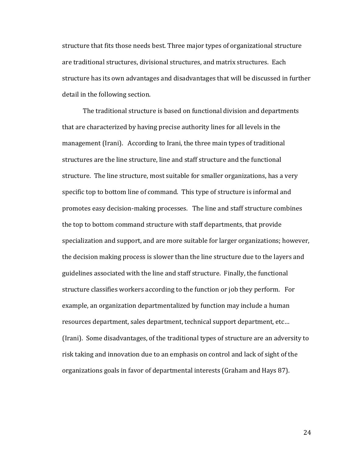structure that fits those needs best. Three major types of organizational structure are traditional structures, divisional structures, and matrix structures. Each structure has its own advantages and disadvantages that will be discussed in further detail in the following section.

The traditional structure is based on functional division and departments that are characterized by having precise authority lines for all levels in the management (Irani). According to Irani, the three main types of traditional structures are the line structure, line and staff structure and the functional structure. The line structure, most suitable for smaller organizations, has a very specific top to bottom line of command. This type of structure is informal and promotes easy decision-making processes. The line and staff structure combines the top to bottom command structure with staff departments, that provide specialization and support, and are more suitable for larger organizations; however, the decision making process is slower than the line structure due to the layers and guidelines associated with the line and staff structure. Finally, the functional structure classifies workers according to the function or job they perform. For example, an organization departmentalized by function may include a human resources department, sales department, technical support department, etc… (Irani). Some disadvantages, of the traditional types of structure are an adversity to risk taking and innovation due to an emphasis on control and lack of sight of the organizations goals in favor of departmental interests (Graham and Hays 87).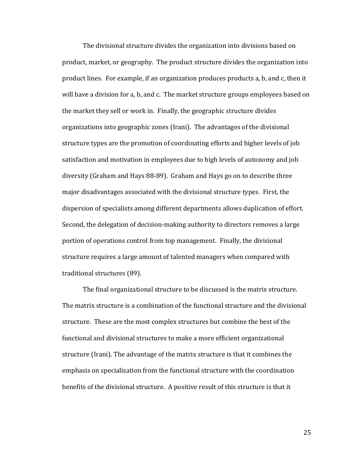The divisional structure divides the organization into divisions based on product, market, or geography. The product structure divides the organization into product lines. For example, if an organization produces products a, b, and c, then it will have a division for a, b, and c. The market structure groups employees based on the market they sell or work in. Finally, the geographic structure divides organizations into geographic zones (Irani). The advantages of the divisional structure types are the promotion of coordinating efforts and higher levels of job satisfaction and motivation in employees due to high levels of autonomy and job diversity (Graham and Hays 88-89). Graham and Hays go on to describe three major disadvantages associated with the divisional structure types. First, the dispersion of specialists among different departments allows duplication of effort. Second, the delegation of decision-making authority to directors removes a large portion of operations control from top management. Finally, the divisional structure requires a large amount of talented managers when compared with traditional structures (89).

The final organizational structure to be discussed is the matrix structure. The matrix structure is a combination of the functional structure and the divisional structure. These are the most complex structures but combine the best of the functional and divisional structures to make a more efficient organizational structure (Irani). The advantage of the matrix structure is that it combines the emphasis on specialization from the functional structure with the coordination benefits of the divisional structure. A positive result of this structure is that it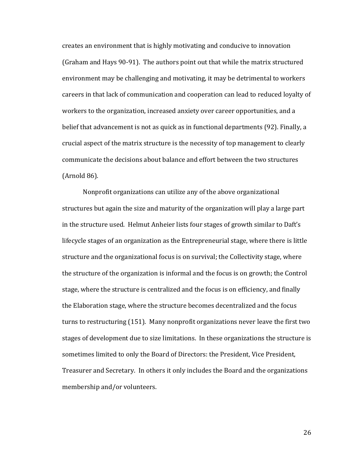creates an environment that is highly motivating and conducive to innovation (Graham and Hays 90-91). The authors point out that while the matrix structured environment may be challenging and motivating, it may be detrimental to workers careers in that lack of communication and cooperation can lead to reduced loyalty of workers to the organization, increased anxiety over career opportunities, and a belief that advancement is not as quick as in functional departments (92). Finally, a crucial aspect of the matrix structure is the necessity of top management to clearly communicate the decisions about balance and effort between the two structures (Arnold 86).

Nonprofit organizations can utilize any of the above organizational structures but again the size and maturity of the organization will play a large part in the structure used. Helmut Anheier lists four stages of growth similar to Daft's lifecycle stages of an organization as the Entrepreneurial stage, where there is little structure and the organizational focus is on survival; the Collectivity stage, where the structure of the organization is informal and the focus is on growth; the Control stage, where the structure is centralized and the focus is on efficiency, and finally the Elaboration stage, where the structure becomes decentralized and the focus turns to restructuring (151). Many nonprofit organizations never leave the first two stages of development due to size limitations. In these organizations the structure is sometimes limited to only the Board of Directors: the President, Vice President, Treasurer and Secretary. In others it only includes the Board and the organizations membership and/or volunteers.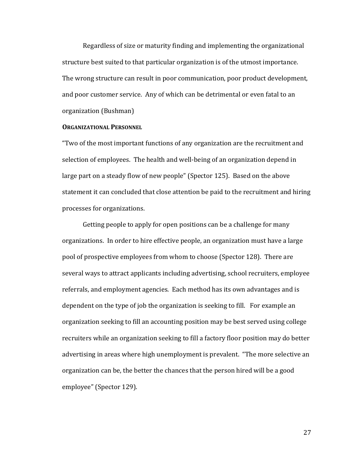Regardless of size or maturity finding and implementing the organizational structure best suited to that particular organization is of the utmost importance. The wrong structure can result in poor communication, poor product development, and poor customer service. Any of which can be detrimental or even fatal to an organization (Bushman)

## **ORGANIZATIONAL PERSONNEL**

"Two of the most important functions of any organization are the recruitment and selection of employees. The health and well-being of an organization depend in large part on a steady flow of new people" (Spector 125). Based on the above statement it can concluded that close attention be paid to the recruitment and hiring processes for organizations.

Getting people to apply for open positions can be a challenge for many organizations. In order to hire effective people, an organization must have a large pool of prospective employees from whom to choose (Spector 128). There are several ways to attract applicants including advertising, school recruiters, employee referrals, and employment agencies. Each method has its own advantages and is dependent on the type of job the organization is seeking to fill. For example an organization seeking to fill an accounting position may be best served using college recruiters while an organization seeking to fill a factory floor position may do better advertising in areas where high unemployment is prevalent. "The more selective an organization can be, the better the chances that the person hired will be a good employee" (Spector 129).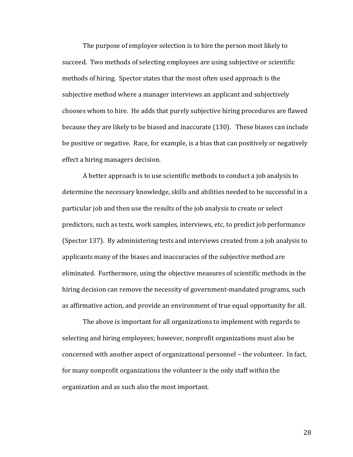The purpose of employee selection is to hire the person most likely to succeed. Two methods of selecting employees are using subjective or scientific methods of hiring. Spector states that the most often used approach is the subjective method where a manager interviews an applicant and subjectively chooses whom to hire. He adds that purely subjective hiring procedures are flawed because they are likely to be biased and inaccurate (130). These biases can include be positive or negative. Race, for example, is a bias that can positively or negatively effect a hiring managers decision.

A better approach is to use scientific methods to conduct a job analysis to determine the necessary knowledge, skills and abilities needed to be successful in a particular job and then use the results of the job analysis to create or select predictors, such as tests, work samples, interviews, etc, to predict job performance (Spector 137). By administering tests and interviews created from a job analysis to applicants many of the biases and inaccuracies of the subjective method are eliminated. Furthermore, using the objective measures of scientific methods in the hiring decision can remove the necessity of government-mandated programs, such as affirmative action, and provide an environment of true equal opportunity for all.

The above is important for all organizations to implement with regards to selecting and hiring employees; however, nonprofit organizations must also be concerned with another aspect of organizational personnel – the volunteer. In fact, for many nonprofit organizations the volunteer is the only staff within the organization and as such also the most important.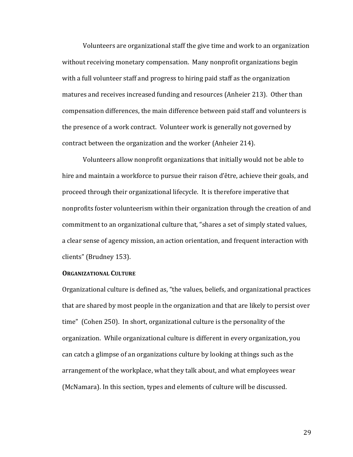Volunteers are organizational staff the give time and work to an organization without receiving monetary compensation. Many nonprofit organizations begin with a full volunteer staff and progress to hiring paid staff as the organization matures and receives increased funding and resources (Anheier 213). Other than compensation differences, the main difference between paid staff and volunteers is the presence of a work contract. Volunteer work is generally not governed by contract between the organization and the worker (Anheier 214).

Volunteers allow nonprofit organizations that initially would not be able to hire and maintain a workforce to pursue their raison d'être, achieve their goals, and proceed through their organizational lifecycle. It is therefore imperative that nonprofits foster volunteerism within their organization through the creation of and commitment to an organizational culture that, "shares a set of simply stated values, a clear sense of agency mission, an action orientation, and frequent interaction with clients" (Brudney 153).

## **ORGANIZATIONAL CULTURE**

Organizational culture is defined as, "the values, beliefs, and organizational practices that are shared by most people in the organization and that are likely to persist over time" (Cohen 250). In short, organizational culture is the personality of the organization. While organizational culture is different in every organization, you can catch a glimpse of an organizations culture by looking at things such as the arrangement of the workplace, what they talk about, and what employees wear (McNamara). In this section, types and elements of culture will be discussed.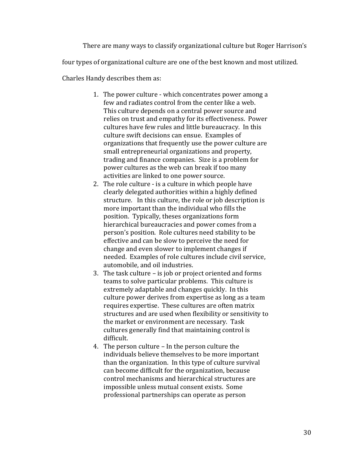There are many ways to classify organizational culture but Roger Harrison's four types of organizational culture are one of the best known and most utilized. Charles Handy describes them as:

> 1. The power culture - which concentrates power among a few and radiates control from the center like a web. This culture depends on a central power source and relies on trust and empathy for its effectiveness. Power cultures have few rules and little bureaucracy. In this culture swift decisions can ensue. Examples of organizations that frequently use the power culture are small entrepreneurial organizations and property, trading and finance companies. Size is a problem for power cultures as the web can break if too many activities are linked to one power source.

- 2. The role culture is a culture in which people have clearly delegated authorities within a highly defined structure. In this culture, the role or job description is more important than the individual who fills the position. Typically, theses organizations form hierarchical bureaucracies and power comes from a person's position. Role cultures need stability to be effective and can be slow to perceive the need for change and even slower to implement changes if needed. Examples of role cultures include civil service, automobile, and oil industries.
- 3. The task culture is job or project oriented and forms teams to solve particular problems. This culture is extremely adaptable and changes quickly. In this culture power derives from expertise as long as a team requires expertise. These cultures are often matrix structures and are used when flexibility or sensitivity to the market or environment are necessary. Task cultures generally find that maintaining control is difficult.
- 4. The person culture In the person culture the individuals believe themselves to be more important than the organization. In this type of culture survival can become difficult for the organization, because control mechanisms and hierarchical structures are impossible unless mutual consent exists. Some professional partnerships can operate as person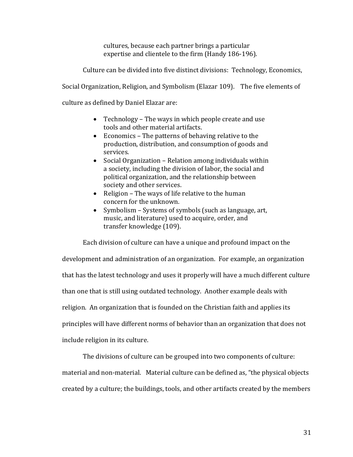cultures, because each partner brings a particular expertise and clientele to the firm (Handy 186-196).

Culture can be divided into five distinct divisions: Technology, Economics,

Social Organization, Religion, and Symbolism (Elazar 109). The five elements of

culture as defined by Daniel Elazar are:

- Technology The ways in which people create and use tools and other material artifacts.
- Economics The patterns of behaving relative to the production, distribution, and consumption of goods and services.
- Social Organization Relation among individuals within a society, including the division of labor, the social and political organization, and the relationship between society and other services.
- Religion The ways of life relative to the human concern for the unknown.
- Symbolism Systems of symbols (such as language, art, music, and literature) used to acquire, order, and transfer knowledge (109).

Each division of culture can have a unique and profound impact on the development and administration of an organization. For example, an organization that has the latest technology and uses it properly will have a much different culture than one that is still using outdated technology. Another example deals with religion. An organization that is founded on the Christian faith and applies its principles will have different norms of behavior than an organization that does not include religion in its culture.

The divisions of culture can be grouped into two components of culture: material and non-material. Material culture can be defined as, "the physical objects created by a culture; the buildings, tools, and other artifacts created by the members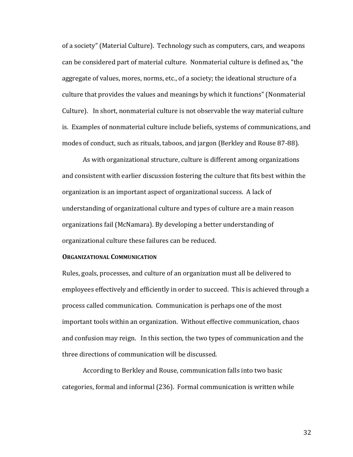of a society" (Material Culture). Technology such as computers, cars, and weapons can be considered part of material culture. Nonmaterial culture is defined as, "the aggregate of values, mores, norms, etc., of a society; the ideational structure of a culture that provides the values and meanings by which it functions" (Nonmaterial Culture). In short, nonmaterial culture is not observable the way material culture is. Examples of nonmaterial culture include beliefs, systems of communications, and modes of conduct, such as rituals, taboos, and jargon (Berkley and Rouse 87-88).

As with organizational structure, culture is different among organizations and consistent with earlier discussion fostering the culture that fits best within the organization is an important aspect of organizational success. A lack of understanding of organizational culture and types of culture are a main reason organizations fail (McNamara). By developing a better understanding of organizational culture these failures can be reduced.

## **ORGANIZATIONAL COMMUNICATION**

Rules, goals, processes, and culture of an organization must all be delivered to employees effectively and efficiently in order to succeed. This is achieved through a process called communication. Communication is perhaps one of the most important tools within an organization. Without effective communication, chaos and confusion may reign. In this section, the two types of communication and the three directions of communication will be discussed.

According to Berkley and Rouse, communication falls into two basic categories, formal and informal (236). Formal communication is written while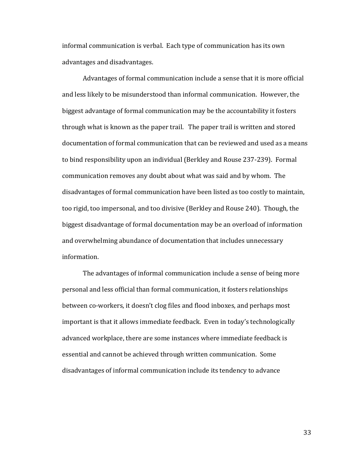informal communication is verbal. Each type of communication has its own advantages and disadvantages.

Advantages of formal communication include a sense that it is more official and less likely to be misunderstood than informal communication. However, the biggest advantage of formal communication may be the accountability it fosters through what is known as the paper trail. The paper trail is written and stored documentation of formal communication that can be reviewed and used as a means to bind responsibility upon an individual (Berkley and Rouse 237-239). Formal communication removes any doubt about what was said and by whom. The disadvantages of formal communication have been listed as too costly to maintain, too rigid, too impersonal, and too divisive (Berkley and Rouse 240). Though, the biggest disadvantage of formal documentation may be an overload of information and overwhelming abundance of documentation that includes unnecessary information.

The advantages of informal communication include a sense of being more personal and less official than formal communication, it fosters relationships between co-workers, it doesn't clog files and flood inboxes, and perhaps most important is that it allows immediate feedback. Even in today's technologically advanced workplace, there are some instances where immediate feedback is essential and cannot be achieved through written communication. Some disadvantages of informal communication include its tendency to advance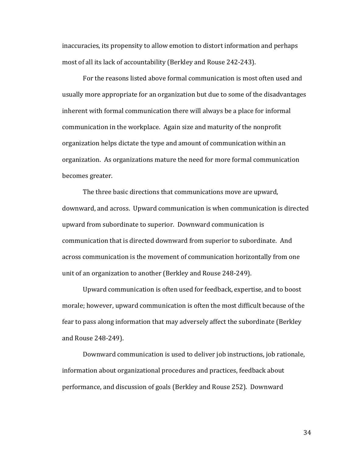inaccuracies, its propensity to allow emotion to distort information and perhaps most of all its lack of accountability (Berkley and Rouse 242-243).

For the reasons listed above formal communication is most often used and usually more appropriate for an organization but due to some of the disadvantages inherent with formal communication there will always be a place for informal communication in the workplace. Again size and maturity of the nonprofit organization helps dictate the type and amount of communication within an organization. As organizations mature the need for more formal communication becomes greater.

The three basic directions that communications move are upward, downward, and across. Upward communication is when communication is directed upward from subordinate to superior. Downward communication is communication that is directed downward from superior to subordinate. And across communication is the movement of communication horizontally from one unit of an organization to another (Berkley and Rouse 248-249).

Upward communication is often used for feedback, expertise, and to boost morale; however, upward communication is often the most difficult because of the fear to pass along information that may adversely affect the subordinate (Berkley and Rouse 248-249).

Downward communication is used to deliver job instructions, job rationale, information about organizational procedures and practices, feedback about performance, and discussion of goals (Berkley and Rouse 252). Downward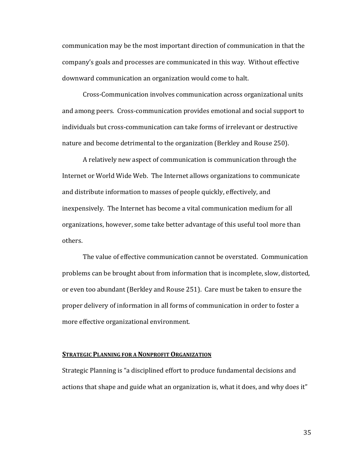communication may be the most important direction of communication in that the company's goals and processes are communicated in this way. Without effective downward communication an organization would come to halt.

Cross-Communication involves communication across organizational units and among peers. Cross-communication provides emotional and social support to individuals but cross-communication can take forms of irrelevant or destructive nature and become detrimental to the organization (Berkley and Rouse 250).

A relatively new aspect of communication is communication through the Internet or World Wide Web. The Internet allows organizations to communicate and distribute information to masses of people quickly, effectively, and inexpensively. The Internet has become a vital communication medium for all organizations, however, some take better advantage of this useful tool more than others.

The value of effective communication cannot be overstated. Communication problems can be brought about from information that is incomplete, slow, distorted, or even too abundant (Berkley and Rouse 251). Care must be taken to ensure the proper delivery of information in all forms of communication in order to foster a more effective organizational environment.

#### **STRATEGIC PLANNING FOR A NONPROFIT ORGANIZATION**

Strategic Planning is "a disciplined effort to produce fundamental decisions and actions that shape and guide what an organization is, what it does, and why does it"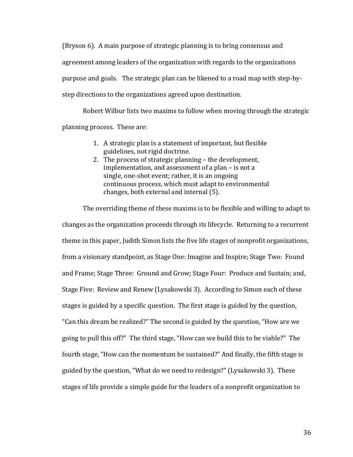(Bryson 6). A main purpose of strategic planning is to bring consensus and agreement among leaders of the organization with regards to the organizations purpose and goals. The strategic plan can be likened to a road map with step-bystep directions to the organizations agreed upon destination.

Robert Wilbur lists two maxims to follow when moving through the strategic planning process. These are:

- 1. A strategic plan is a statement of important, but flexible guidelines, not rigid doctrine.
- 2. The process of strategic planning the development, implementation, and assessment of a plan – is not a single, one-shot event; rather, it is an ongoing continuous process, which must adapt to environmental changes, both external and internal (5).

The overriding theme of these maxims is to be flexible and willing to adapt to changes as the organization proceeds through its lifecycle. Returning to a recurrent theme in this paper, Judith Simon lists the five life stages of nonprofit organizations, from a visionary standpoint, as Stage One: Imagine and Inspire; Stage Two: Found and Frame; Stage Three: Ground and Grow; Stage Four: Produce and Sustain; and, Stage Five: Review and Renew (Lysakowski 3). According to Simon each of these stages is guided by a specific question. The first stage is guided by the question, "Can this dream be realized?" The second is guided by the question, "How are we going to pull this off?" The third stage, "How can we build this to be viable?" The fourth stage, "How can the momentum be sustained?" And finally, the fifth stage is guided by the question, "What do we need to redesign?" (Lysakowski 3). These stages of life provide a simple guide for the leaders of a nonprofit organization to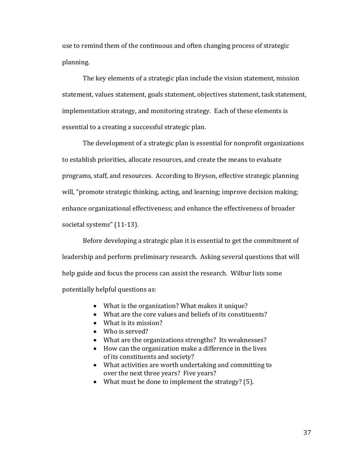use to remind them of the continuous and often changing process of strategic planning.

The key elements of a strategic plan include the vision statement, mission statement, values statement, goals statement, objectives statement, task statement, implementation strategy, and monitoring strategy. Each of these elements is essential to a creating a successful strategic plan.

The development of a strategic plan is essential for nonprofit organizations to establish priorities, allocate resources, and create the means to evaluate programs, staff, and resources. According to Bryson, effective strategic planning will, "promote strategic thinking, acting, and learning; improve decision making; enhance organizational effectiveness; and enhance the effectiveness of broader societal systems" (11-13).

Before developing a strategic plan it is essential to get the commitment of leadership and perform preliminary research. Asking several questions that will help guide and focus the process can assist the research. Wilbur lists some potentially helpful questions as:

- What is the organization? What makes it unique?
- What are the core values and beliefs of its constituents?
- What is its mission?
- Who is served?
- What are the organizations strengths? Its weaknesses?
- How can the organization make a difference in the lives of its constituents and society?
- What activities are worth undertaking and committing to over the next three years? Five years?
- What must be done to implement the strategy? (5).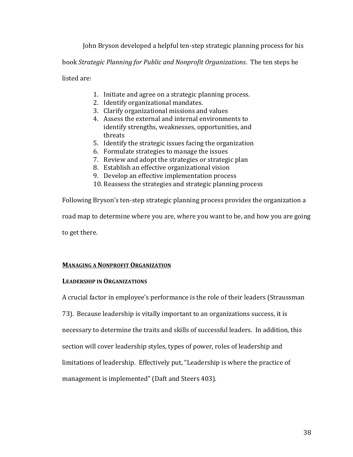John Bryson developed a helpful ten-step strategic planning process for his

book *Strategic Planning for Public and Nonprofit Organizations*. The ten steps he

listed are:

- 1. Initiate and agree on a strategic planning process.
- 2. Identify organizational mandates.
- 3. Clarify organizational missions and values
- 4. Assess the external and internal environments to identify strengths, weaknesses, opportunities, and threats
- 5. Identify the strategic issues facing the organization
- 6. Formulate strategies to manage the issues
- 7. Review and adopt the strategies or strategic plan
- 8. Establish an effective organizational vision
- 9. Develop an effective implementation process
- 10. Reassess the strategies and strategic planning process

Following Bryson's ten-step strategic planning process provides the organization a road map to determine where you are, where you want to be, and how you are going to get there.

# **MANAGING A NONPROFIT ORGANIZATION**

## **LEADERSHIP IN ORGANIZATIONS**

A crucial factor in employee's performance is the role of their leaders (Straussman

73). Because leadership is vitally important to an organizations success, it is

necessary to determine the traits and skills of successful leaders. In addition, this

section will cover leadership styles, types of power, roles of leadership and

limitations of leadership. Effectively put, "Leadership is where the practice of

management is implemented" (Daft and Steers 403).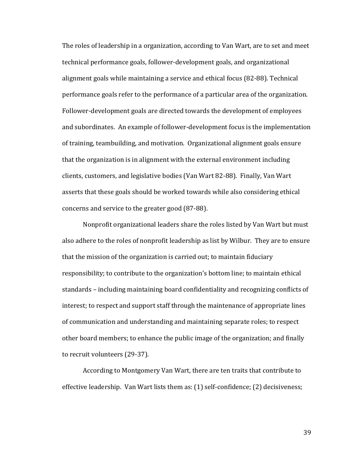The roles of leadership in a organization, according to Van Wart, are to set and meet technical performance goals, follower-development goals, and organizational alignment goals while maintaining a service and ethical focus (82-88). Technical performance goals refer to the performance of a particular area of the organization. Follower-development goals are directed towards the development of employees and subordinates. An example of follower-development focus is the implementation of training, teambuilding, and motivation. Organizational alignment goals ensure that the organization is in alignment with the external environment including clients, customers, and legislative bodies (Van Wart 82-88). Finally, Van Wart asserts that these goals should be worked towards while also considering ethical concerns and service to the greater good (87-88).

Nonprofit organizational leaders share the roles listed by Van Wart but must also adhere to the roles of nonprofit leadership as list by Wilbur. They are to ensure that the mission of the organization is carried out; to maintain fiduciary responsibility; to contribute to the organization's bottom line; to maintain ethical standards – including maintaining board confidentiality and recognizing conflicts of interest; to respect and support staff through the maintenance of appropriate lines of communication and understanding and maintaining separate roles; to respect other board members; to enhance the public image of the organization; and finally to recruit volunteers (29-37).

According to Montgomery Van Wart, there are ten traits that contribute to effective leadership. Van Wart lists them as: (1) self-confidence; (2) decisiveness;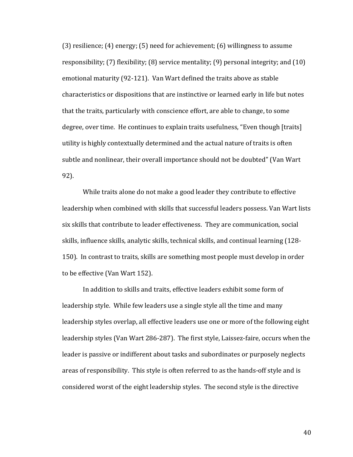(3) resilience; (4) energy; (5) need for achievement; (6) willingness to assume responsibility; (7) flexibility; (8) service mentality; (9) personal integrity; and (10) emotional maturity (92-121). Van Wart defined the traits above as stable characteristics or dispositions that are instinctive or learned early in life but notes that the traits, particularly with conscience effort, are able to change, to some degree, over time. He continues to explain traits usefulness, "Even though [traits] utility is highly contextually determined and the actual nature of traits is often subtle and nonlinear, their overall importance should not be doubted" (Van Wart 92).

While traits alone do not make a good leader they contribute to effective leadership when combined with skills that successful leaders possess. Van Wart lists six skills that contribute to leader effectiveness. They are communication, social skills, influence skills, analytic skills, technical skills, and continual learning (128- 150). In contrast to traits, skills are something most people must develop in order to be effective (Van Wart 152).

In addition to skills and traits, effective leaders exhibit some form of leadership style. While few leaders use a single style all the time and many leadership styles overlap, all effective leaders use one or more of the following eight leadership styles (Van Wart 286-287). The first style, Laissez-faire, occurs when the leader is passive or indifferent about tasks and subordinates or purposely neglects areas of responsibility. This style is often referred to as the hands-off style and is considered worst of the eight leadership styles. The second style is the directive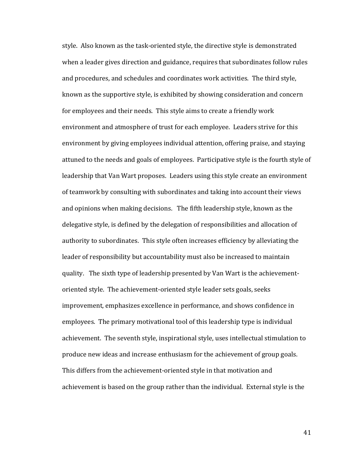style. Also known as the task-oriented style, the directive style is demonstrated when a leader gives direction and guidance, requires that subordinates follow rules and procedures, and schedules and coordinates work activities. The third style, known as the supportive style, is exhibited by showing consideration and concern for employees and their needs. This style aims to create a friendly work environment and atmosphere of trust for each employee. Leaders strive for this environment by giving employees individual attention, offering praise, and staying attuned to the needs and goals of employees. Participative style is the fourth style of leadership that Van Wart proposes. Leaders using this style create an environment of teamwork by consulting with subordinates and taking into account their views and opinions when making decisions. The fifth leadership style, known as the delegative style, is defined by the delegation of responsibilities and allocation of authority to subordinates. This style often increases efficiency by alleviating the leader of responsibility but accountability must also be increased to maintain quality. The sixth type of leadership presented by Van Wart is the achievementoriented style. The achievement-oriented style leader sets goals, seeks improvement, emphasizes excellence in performance, and shows confidence in employees. The primary motivational tool of this leadership type is individual achievement. The seventh style, inspirational style, uses intellectual stimulation to produce new ideas and increase enthusiasm for the achievement of group goals. This differs from the achievement-oriented style in that motivation and achievement is based on the group rather than the individual. External style is the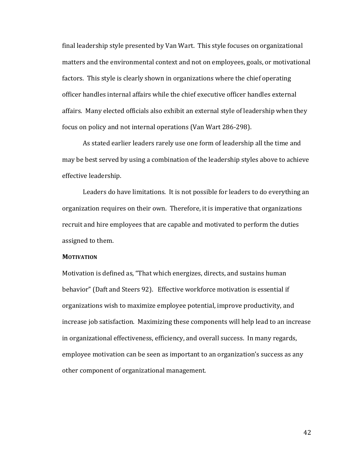final leadership style presented by Van Wart. This style focuses on organizational matters and the environmental context and not on employees, goals, or motivational factors. This style is clearly shown in organizations where the chief operating officer handles internal affairs while the chief executive officer handles external affairs. Many elected officials also exhibit an external style of leadership when they focus on policy and not internal operations (Van Wart 286-298).

As stated earlier leaders rarely use one form of leadership all the time and may be best served by using a combination of the leadership styles above to achieve effective leadership.

Leaders do have limitations. It is not possible for leaders to do everything an organization requires on their own. Therefore, it is imperative that organizations recruit and hire employees that are capable and motivated to perform the duties assigned to them.

## **MOTIVATION**

Motivation is defined as, "That which energizes, directs, and sustains human behavior" (Daft and Steers 92). Effective workforce motivation is essential if organizations wish to maximize employee potential, improve productivity, and increase job satisfaction. Maximizing these components will help lead to an increase in organizational effectiveness, efficiency, and overall success. In many regards, employee motivation can be seen as important to an organization's success as any other component of organizational management.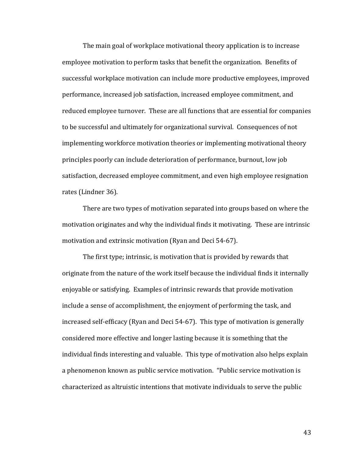The main goal of workplace motivational theory application is to increase employee motivation to perform tasks that benefit the organization. Benefits of successful workplace motivation can include more productive employees, improved performance, increased job satisfaction, increased employee commitment, and reduced employee turnover. These are all functions that are essential for companies to be successful and ultimately for organizational survival. Consequences of not implementing workforce motivation theories or implementing motivational theory principles poorly can include deterioration of performance, burnout, low job satisfaction, decreased employee commitment, and even high employee resignation rates (Lindner 36).

There are two types of motivation separated into groups based on where the motivation originates and why the individual finds it motivating. These are intrinsic motivation and extrinsic motivation (Ryan and Deci 54-67).

The first type; intrinsic, is motivation that is provided by rewards that originate from the nature of the work itself because the individual finds it internally enjoyable or satisfying. Examples of intrinsic rewards that provide motivation include a sense of accomplishment, the enjoyment of performing the task, and increased self-efficacy (Ryan and Deci 54-67). This type of motivation is generally considered more effective and longer lasting because it is something that the individual finds interesting and valuable. This type of motivation also helps explain a phenomenon known as public service motivation. "Public service motivation is characterized as altruistic intentions that motivate individuals to serve the public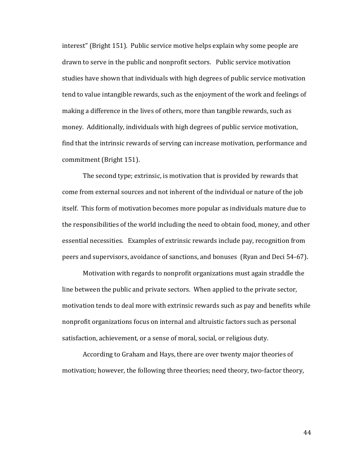interest" (Bright 151). Public service motive helps explain why some people are drawn to serve in the public and nonprofit sectors. Public service motivation studies have shown that individuals with high degrees of public service motivation tend to value intangible rewards, such as the enjoyment of the work and feelings of making a difference in the lives of others, more than tangible rewards, such as money. Additionally, individuals with high degrees of public service motivation, find that the intrinsic rewards of serving can increase motivation, performance and commitment (Bright 151).

The second type; extrinsic, is motivation that is provided by rewards that come from external sources and not inherent of the individual or nature of the job itself. This form of motivation becomes more popular as individuals mature due to the responsibilities of the world including the need to obtain food, money, and other essential necessities. Examples of extrinsic rewards include pay, recognition from peers and supervisors, avoidance of sanctions, and bonuses (Ryan and Deci 54-67).

Motivation with regards to nonprofit organizations must again straddle the line between the public and private sectors. When applied to the private sector, motivation tends to deal more with extrinsic rewards such as pay and benefits while nonprofit organizations focus on internal and altruistic factors such as personal satisfaction, achievement, or a sense of moral, social, or religious duty.

According to Graham and Hays, there are over twenty major theories of motivation; however, the following three theories; need theory, two-factor theory,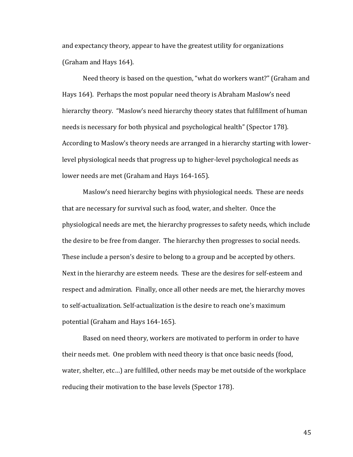and expectancy theory, appear to have the greatest utility for organizations (Graham and Hays 164).

Need theory is based on the question, "what do workers want?" (Graham and Hays 164). Perhaps the most popular need theory is Abraham Maslow's need hierarchy theory. "Maslow's need hierarchy theory states that fulfillment of human needs is necessary for both physical and psychological health" (Spector 178). According to Maslow's theory needs are arranged in a hierarchy starting with lowerlevel physiological needs that progress up to higher-level psychological needs as lower needs are met (Graham and Hays 164-165).

Maslow's need hierarchy begins with physiological needs. These are needs that are necessary for survival such as food, water, and shelter. Once the physiological needs are met, the hierarchy progresses to safety needs, which include the desire to be free from danger. The hierarchy then progresses to social needs. These include a person's desire to belong to a group and be accepted by others. Next in the hierarchy are esteem needs. These are the desires for self-esteem and respect and admiration. Finally, once all other needs are met, the hierarchy moves to self-actualization. Self-actualization is the desire to reach one's maximum potential (Graham and Hays 164-165).

Based on need theory, workers are motivated to perform in order to have their needs met. One problem with need theory is that once basic needs (food, water, shelter, etc…) are fulfilled, other needs may be met outside of the workplace reducing their motivation to the base levels (Spector 178).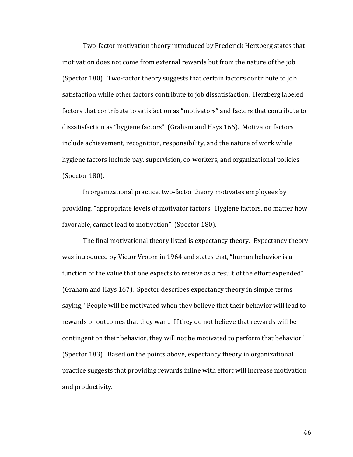Two-factor motivation theory introduced by Frederick Herzberg states that motivation does not come from external rewards but from the nature of the job (Spector 180). Two-factor theory suggests that certain factors contribute to job satisfaction while other factors contribute to job dissatisfaction. Herzberg labeled factors that contribute to satisfaction as "motivators" and factors that contribute to dissatisfaction as "hygiene factors" (Graham and Hays 166). Motivator factors include achievement, recognition, responsibility, and the nature of work while hygiene factors include pay, supervision, co-workers, and organizational policies (Spector 180).

In organizational practice, two-factor theory motivates employees by providing, "appropriate levels of motivator factors. Hygiene factors, no matter how favorable, cannot lead to motivation" (Spector 180).

The final motivational theory listed is expectancy theory. Expectancy theory was introduced by Victor Vroom in 1964 and states that, "human behavior is a function of the value that one expects to receive as a result of the effort expended" (Graham and Hays 167). Spector describes expectancy theory in simple terms saying, "People will be motivated when they believe that their behavior will lead to rewards or outcomes that they want. If they do not believe that rewards will be contingent on their behavior, they will not be motivated to perform that behavior" (Spector 183). Based on the points above, expectancy theory in organizational practice suggests that providing rewards inline with effort will increase motivation and productivity.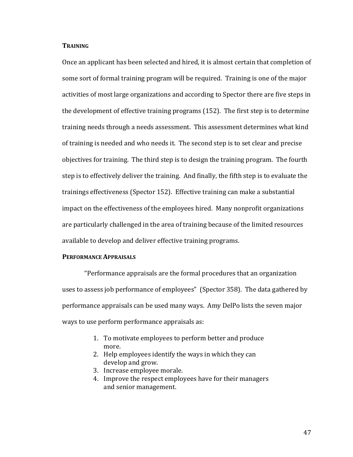## **TRAINING**

Once an applicant has been selected and hired, it is almost certain that completion of some sort of formal training program will be required. Training is one of the major activities of most large organizations and according to Spector there are five steps in the development of effective training programs (152). The first step is to determine training needs through a needs assessment. This assessment determines what kind of training is needed and who needs it. The second step is to set clear and precise objectives for training. The third step is to design the training program. The fourth step is to effectively deliver the training. And finally, the fifth step is to evaluate the trainings effectiveness (Spector 152). Effective training can make a substantial impact on the effectiveness of the employees hired. Many nonprofit organizations are particularly challenged in the area of training because of the limited resources available to develop and deliver effective training programs.

## **PERFORMANCE APPRAISALS**

"Performance appraisals are the formal procedures that an organization uses to assess job performance of employees" (Spector 358). The data gathered by performance appraisals can be used many ways. Amy DelPo lists the seven major ways to use perform performance appraisals as:

- 1. To motivate employees to perform better and produce more.
- 2. Help employees identify the ways in which they can develop and grow.
- 3. Increase employee morale.
- 4. Improve the respect employees have for their managers and senior management.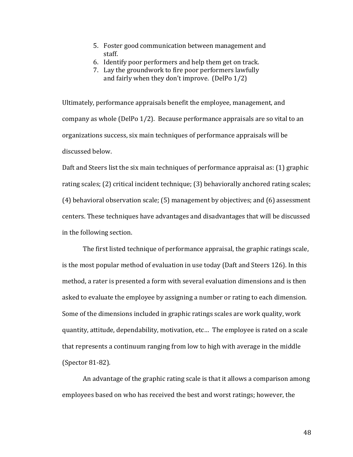- 5. Foster good communication between management and staff.
- 6. Identify poor performers and help them get on track.
- 7. Lay the groundwork to fire poor performers lawfully and fairly when they don't improve. (DelPo 1/2)

Ultimately, performance appraisals benefit the employee, management, and company as whole (DelPo 1/2). Because performance appraisals are so vital to an organizations success, six main techniques of performance appraisals will be discussed below.

Daft and Steers list the six main techniques of performance appraisal as: (1) graphic rating scales; (2) critical incident technique; (3) behaviorally anchored rating scales; (4) behavioral observation scale; (5) management by objectives; and (6) assessment centers. These techniques have advantages and disadvantages that will be discussed in the following section.

The first listed technique of performance appraisal, the graphic ratings scale, is the most popular method of evaluation in use today (Daft and Steers 126). In this method, a rater is presented a form with several evaluation dimensions and is then asked to evaluate the employee by assigning a number or rating to each dimension. Some of the dimensions included in graphic ratings scales are work quality, work quantity, attitude, dependability, motivation, etc… The employee is rated on a scale that represents a continuum ranging from low to high with average in the middle (Spector 81-82).

An advantage of the graphic rating scale is that it allows a comparison among employees based on who has received the best and worst ratings; however, the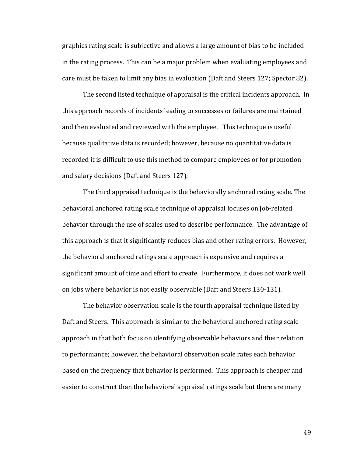graphics rating scale is subjective and allows a large amount of bias to be included in the rating process. This can be a major problem when evaluating employees and care must be taken to limit any bias in evaluation (Daft and Steers 127; Spector 82).

The second listed technique of appraisal is the critical incidents approach. In this approach records of incidents leading to successes or failures are maintained and then evaluated and reviewed with the employee. This technique is useful because qualitative data is recorded; however, because no quantitative data is recorded it is difficult to use this method to compare employees or for promotion and salary decisions (Daft and Steers 127).

The third appraisal technique is the behaviorally anchored rating scale. The behavioral anchored rating scale technique of appraisal focuses on job-related behavior through the use of scales used to describe performance. The advantage of this approach is that it significantly reduces bias and other rating errors. However, the behavioral anchored ratings scale approach is expensive and requires a significant amount of time and effort to create. Furthermore, it does not work well on jobs where behavior is not easily observable (Daft and Steers 130-131).

The behavior observation scale is the fourth appraisal technique listed by Daft and Steers. This approach is similar to the behavioral anchored rating scale approach in that both focus on identifying observable behaviors and their relation to performance; however, the behavioral observation scale rates each behavior based on the frequency that behavior is performed. This approach is cheaper and easier to construct than the behavioral appraisal ratings scale but there are many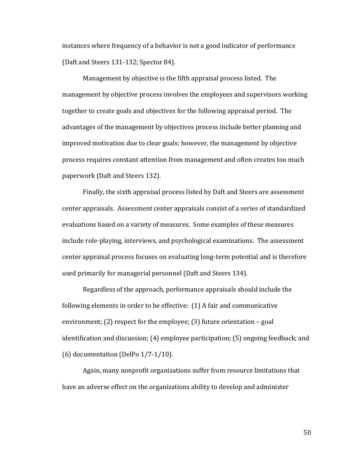instances where frequency of a behavior is not a good indicator of performance (Daft and Steers 131-132; Spector 84).

Management by objective is the fifth appraisal process listed. The management by objective process involves the employees and supervisors working together to create goals and objectives for the following appraisal period. The advantages of the management by objectives process include better planning and improved motivation due to clear goals; however, the management by objective process requires constant attention from management and often creates too much paperwork (Daft and Steers 132).

Finally, the sixth appraisal process listed by Daft and Steers are assessment center appraisals. Assessment center appraisals consist of a series of standardized evaluations based on a variety of measures. Some examples of these measures include role-playing, interviews, and psychological examinations. The assessment center appraisal process focuses on evaluating long-term potential and is therefore used primarily for managerial personnel (Daft and Steers 134).

Regardless of the approach, performance appraisals should include the following elements in order to be effective: (1) A fair and communicative environment; (2) respect for the employee; (3) future orientation – goal identification and discussion; (4) employee participation; (5) ongoing feedback; and (6) documentation (DelPo 1/7-1/10).

Again, many nonprofit organizations suffer from resource limitations that have an adverse effect on the organizations ability to develop and administer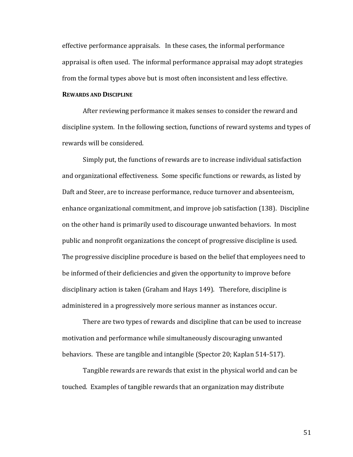effective performance appraisals. In these cases, the informal performance appraisal is often used. The informal performance appraisal may adopt strategies from the formal types above but is most often inconsistent and less effective.

### **REWARDS AND DISCIPLINE**

After reviewing performance it makes senses to consider the reward and discipline system. In the following section, functions of reward systems and types of rewards will be considered.

Simply put, the functions of rewards are to increase individual satisfaction and organizational effectiveness. Some specific functions or rewards, as listed by Daft and Steer, are to increase performance, reduce turnover and absenteeism, enhance organizational commitment, and improve job satisfaction (138). Discipline on the other hand is primarily used to discourage unwanted behaviors. In most public and nonprofit organizations the concept of progressive discipline is used. The progressive discipline procedure is based on the belief that employees need to be informed of their deficiencies and given the opportunity to improve before disciplinary action is taken (Graham and Hays 149). Therefore, discipline is administered in a progressively more serious manner as instances occur.

There are two types of rewards and discipline that can be used to increase motivation and performance while simultaneously discouraging unwanted behaviors. These are tangible and intangible (Spector 20; Kaplan 514-517).

Tangible rewards are rewards that exist in the physical world and can be touched. Examples of tangible rewards that an organization may distribute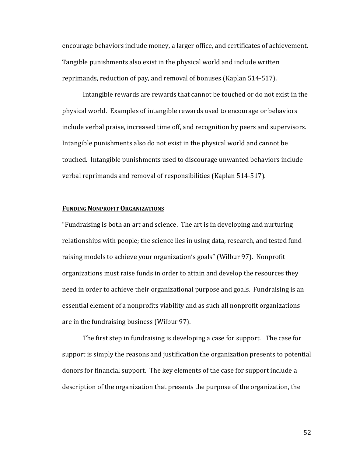encourage behaviors include money, a larger office, and certificates of achievement. Tangible punishments also exist in the physical world and include written reprimands, reduction of pay, and removal of bonuses (Kaplan 514-517).

Intangible rewards are rewards that cannot be touched or do not exist in the physical world. Examples of intangible rewards used to encourage or behaviors include verbal praise, increased time off, and recognition by peers and supervisors. Intangible punishments also do not exist in the physical world and cannot be touched. Intangible punishments used to discourage unwanted behaviors include verbal reprimands and removal of responsibilities (Kaplan 514-517).

## **FUNDING NONPROFIT ORGANIZATIONS**

"Fundraising is both an art and science. The art is in developing and nurturing relationships with people; the science lies in using data, research, and tested fundraising models to achieve your organization's goals" (Wilbur 97). Nonprofit organizations must raise funds in order to attain and develop the resources they need in order to achieve their organizational purpose and goals. Fundraising is an essential element of a nonprofits viability and as such all nonprofit organizations are in the fundraising business (Wilbur 97).

The first step in fundraising is developing a case for support. The case for support is simply the reasons and justification the organization presents to potential donors for financial support. The key elements of the case for support include a description of the organization that presents the purpose of the organization, the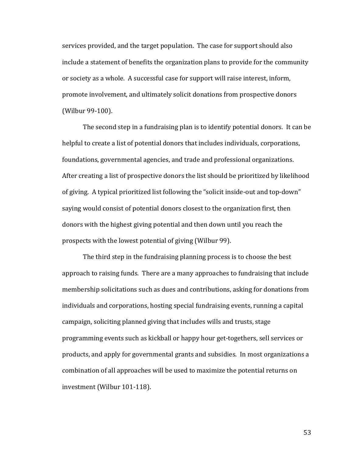services provided, and the target population. The case for support should also include a statement of benefits the organization plans to provide for the community or society as a whole. A successful case for support will raise interest, inform, promote involvement, and ultimately solicit donations from prospective donors (Wilbur 99-100).

The second step in a fundraising plan is to identify potential donors. It can be helpful to create a list of potential donors that includes individuals, corporations, foundations, governmental agencies, and trade and professional organizations. After creating a list of prospective donors the list should be prioritized by likelihood of giving. A typical prioritized list following the "solicit inside-out and top-down" saying would consist of potential donors closest to the organization first, then donors with the highest giving potential and then down until you reach the prospects with the lowest potential of giving (Wilbur 99).

The third step in the fundraising planning process is to choose the best approach to raising funds. There are a many approaches to fundraising that include membership solicitations such as dues and contributions, asking for donations from individuals and corporations, hosting special fundraising events, running a capital campaign, soliciting planned giving that includes wills and trusts, stage programming events such as kickball or happy hour get-togethers, sell services or products, and apply for governmental grants and subsidies. In most organizations a combination of all approaches will be used to maximize the potential returns on investment (Wilbur 101-118).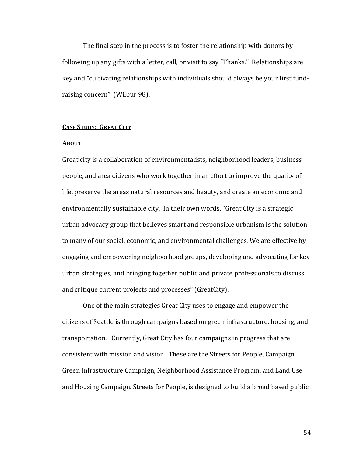The final step in the process is to foster the relationship with donors by following up any gifts with a letter, call, or visit to say "Thanks." Relationships are key and "cultivating relationships with individuals should always be your first fundraising concern" (Wilbur 98).

## **CASE STUDY: GREAT CITY**

## **ABOUT**

Great city is a collaboration of environmentalists, neighborhood leaders, business people, and area citizens who work together in an effort to improve the quality of life, preserve the areas natural resources and beauty, and create an economic and environmentally sustainable city. In their own words, "Great City is a strategic urban advocacy group that believes smart and responsible urbanism is the solution to many of our social, economic, and environmental challenges. We are effective by engaging and empowering neighborhood groups, developing and advocating for key urban strategies, and bringing together public and private professionals to discuss and critique current projects and processes" (GreatCity).

One of the main strategies Great City uses to engage and empower the citizens of Seattle is through campaigns based on green infrastructure, housing, and transportation. Currently, Great City has four campaigns in progress that are consistent with mission and vision. These are the Streets for People, Campaign Green Infrastructure Campaign, Neighborhood Assistance Program, and Land Use and Housing Campaign. Streets for People, is designed to build a broad based public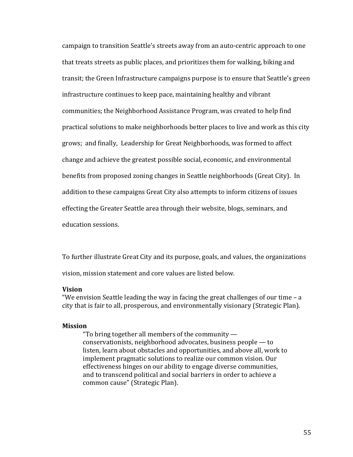campaign to transition Seattle's streets away from an auto-centric approach to one that treats streets as public places, and prioritizes them for walking, biking and transit; the Green Infrastructure campaigns purpose is to ensure that Seattle's green infrastructure continues to keep pace, maintaining healthy and vibrant communities; the Neighborhood Assistance Program, was created to help find practical solutions to make neighborhoods better places to live and work as this city grows; and finally, Leadership for Great Neighborhoods, was formed to affect change and achieve the greatest possible social, economic, and environmental benefits from proposed zoning changes in Seattle neighborhoods (Great City). In addition to these campaigns Great City also attempts to inform citizens of issues effecting the Greater Seattle area through their website, blogs, seminars, and education sessions.

To further illustrate Great City and its purpose, goals, and values, the organizations vision, mission statement and core values are listed below.

#### **Vision**

"We envision Seattle leading the way in facing the great challenges of our time – a city that is fair to all, prosperous, and environmentally visionary (Strategic Plan).

#### **Mission**

"To bring together all members of the community  $$ conservationists, neighborhood advocates, business people — to listen, learn about obstacles and opportunities, and above all, work to implement pragmatic solutions to realize our common vision. Our effectiveness hinges on our ability to engage diverse communities, and to transcend political and social barriers in order to achieve a common cause" (Strategic Plan).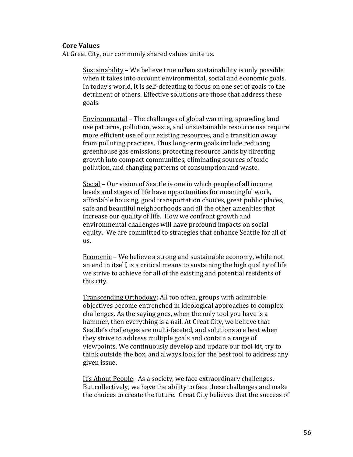## **Core Values**

At Great City, our commonly shared values unite us.

Sustainability – We believe true urban sustainability is only possible when it takes into account environmental, social and economic goals. In today's world, it is self-defeating to focus on one set of goals to the detriment of others. Effective solutions are those that address these goals:

Environmental – The challenges of global warming, sprawling land use patterns, pollution, waste, and unsustainable resource use require more efficient use of our existing resources, and a transition away from polluting practices. Thus long-term goals include reducing greenhouse gas emissions, protecting resource lands by directing growth into compact communities, eliminating sources of toxic pollution, and changing patterns of consumption and waste.

Social – Our vision of Seattle is one in which people of all income levels and stages of life have opportunities for meaningful work, affordable housing, good transportation choices, great public places, safe and beautiful neighborhoods and all the other amenities that increase our quality of life. How we confront growth and environmental challenges will have profound impacts on social equity. We are committed to strategies that enhance Seattle for all of us.

Economic – We believe a strong and sustainable economy, while not an end in itself, is a critical means to sustaining the high quality of life we strive to achieve for all of the existing and potential residents of this city.

Transcending Orthodoxy: All too often, groups with admirable objectives become entrenched in ideological approaches to complex challenges. As the saying goes, when the only tool you have is a hammer, then everything is a nail. At Great City, we believe that Seattle's challenges are multi-faceted, and solutions are best when they strive to address multiple goals and contain a range of viewpoints. We continuously develop and update our tool kit, try to think outside the box, and always look for the best tool to address any given issue.

It's About People: As a society, we face extraordinary challenges. But collectively, we have the ability to face these challenges and make the choices to create the future. Great City believes that the success of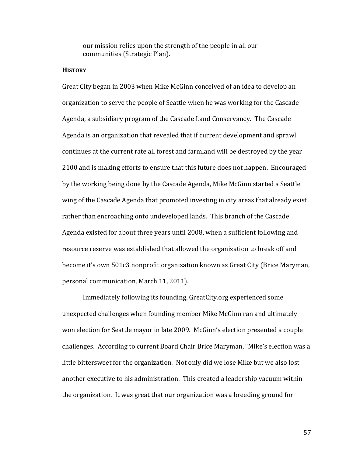our mission relies upon the strength of the people in all our communities (Strategic Plan).

## **HISTORY**

Great City began in 2003 when Mike McGinn conceived of an idea to develop an organization to serve the people of Seattle when he was working for the Cascade Agenda, a subsidiary program of the Cascade Land Conservancy. The Cascade Agenda is an organization that revealed that if current development and sprawl continues at the current rate all forest and farmland will be destroyed by the year 2100 and is making efforts to ensure that this future does not happen. Encouraged by the working being done by the Cascade Agenda, Mike McGinn started a Seattle wing of the Cascade Agenda that promoted investing in city areas that already exist rather than encroaching onto undeveloped lands. This branch of the Cascade Agenda existed for about three years until 2008, when a sufficient following and resource reserve was established that allowed the organization to break off and become it's own 501c3 nonprofit organization known as Great City (Brice Maryman, personal communication, March 11, 2011).

Immediately following its founding, GreatCity.org experienced some unexpected challenges when founding member Mike McGinn ran and ultimately won election for Seattle mayor in late 2009. McGinn's election presented a couple challenges. According to current Board Chair Brice Maryman, "Mike's election was a little bittersweet for the organization. Not only did we lose Mike but we also lost another executive to his administration. This created a leadership vacuum within the organization. It was great that our organization was a breeding ground for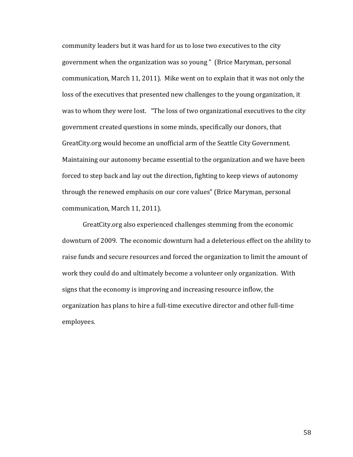community leaders but it was hard for us to lose two executives to the city government when the organization was so young " (Brice Maryman, personal communication, March 11, 2011). Mike went on to explain that it was not only the loss of the executives that presented new challenges to the young organization, it was to whom they were lost. "The loss of two organizational executives to the city government created questions in some minds, specifically our donors, that GreatCity.org would become an unofficial arm of the Seattle City Government. Maintaining our autonomy became essential to the organization and we have been forced to step back and lay out the direction, fighting to keep views of autonomy through the renewed emphasis on our core values" (Brice Maryman, personal communication, March 11, 2011).

GreatCity.org also experienced challenges stemming from the economic downturn of 2009. The economic downturn had a deleterious effect on the ability to raise funds and secure resources and forced the organization to limit the amount of work they could do and ultimately become a volunteer only organization. With signs that the economy is improving and increasing resource inflow, the organization has plans to hire a full-time executive director and other full-time employees.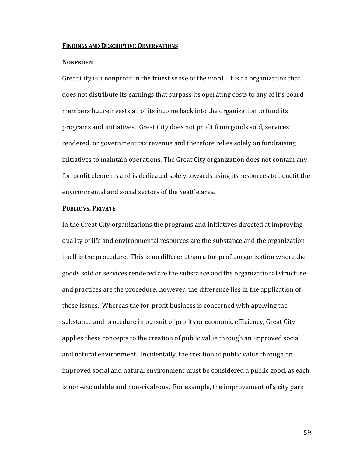### **FINDINGS AND DESCRIPTIVE OBSERVATIONS**

#### **NONPROFIT**

Great City is a nonprofit in the truest sense of the word. It is an organization that does not distribute its earnings that surpass its operating costs to any of it's board members but reinvests all of its income back into the organization to fund its programs and initiatives. Great City does not profit from goods sold, services rendered, or government tax revenue and therefore relies solely on fundraising initiatives to maintain operations. The Great City organization does not contain any for-profit elements and is dedicated solely towards using its resources to benefit the environmental and social sectors of the Seattle area.

## **PUBLIC VS. PRIVATE**

In the Great City organizations the programs and initiatives directed at improving quality of life and environmental resources are the substance and the organization itself is the procedure. This is no different than a for-profit organization where the goods sold or services rendered are the substance and the organizational structure and practices are the procedure; however, the difference lies in the application of these issues. Whereas the for-profit business is concerned with applying the substance and procedure in pursuit of profits or economic efficiency, Great City applies these concepts to the creation of public value through an improved social and natural environment. Incidentally, the creation of public value through an improved social and natural environment must be considered a public good, as each is non-excludable and non-rivalrous. For example, the improvement of a city park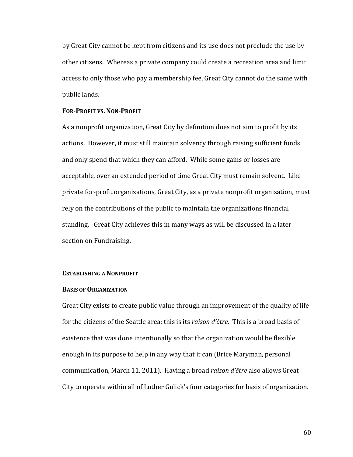by Great City cannot be kept from citizens and its use does not preclude the use by other citizens. Whereas a private company could create a recreation area and limit access to only those who pay a membership fee, Great City cannot do the same with public lands.

### **FOR-PROFIT VS.NON-PROFIT**

As a nonprofit organization, Great City by definition does not aim to profit by its actions. However, it must still maintain solvency through raising sufficient funds and only spend that which they can afford. While some gains or losses are acceptable, over an extended period of time Great City must remain solvent. Like private for-profit organizations, Great City, as a private nonprofit organization, must rely on the contributions of the public to maintain the organizations financial standing. Great City achieves this in many ways as will be discussed in a later section on Fundraising.

## **ESTABLISHING A NONPROFIT**

#### **BASIS OF ORGANIZATION**

Great City exists to create public value through an improvement of the quality of life for the citizens of the Seattle area; this is its *raison d'être.* This is a broad basis of existence that was done intentionally so that the organization would be flexible enough in its purpose to help in any way that it can (Brice Maryman, personal communication, March 11, 2011). Having a broad *raison d'être* also allows Great City to operate within all of Luther Gulick's four categories for basis of organization.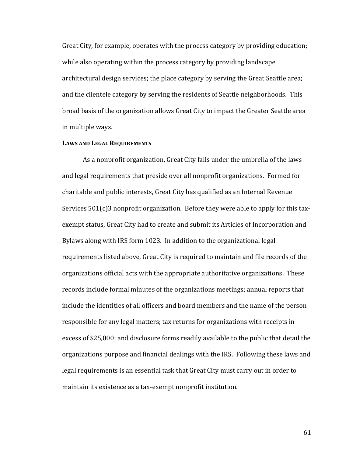Great City, for example, operates with the process category by providing education; while also operating within the process category by providing landscape architectural design services; the place category by serving the Great Seattle area; and the clientele category by serving the residents of Seattle neighborhoods. This broad basis of the organization allows Great City to impact the Greater Seattle area in multiple ways.

### **LAWS AND LEGAL REQUIREMENTS**

As a nonprofit organization, Great City falls under the umbrella of the laws and legal requirements that preside over all nonprofit organizations. Formed for charitable and public interests, Great City has qualified as an Internal Revenue Services 501(c)3 nonprofit organization. Before they were able to apply for this taxexempt status, Great City had to create and submit its Articles of Incorporation and Bylaws along with IRS form 1023. In addition to the organizational legal requirements listed above, Great City is required to maintain and file records of the organizations official acts with the appropriate authoritative organizations. These records include formal minutes of the organizations meetings; annual reports that include the identities of all officers and board members and the name of the person responsible for any legal matters; tax returns for organizations with receipts in excess of \$25,000; and disclosure forms readily available to the public that detail the organizations purpose and financial dealings with the IRS. Following these laws and legal requirements is an essential task that Great City must carry out in order to maintain its existence as a tax-exempt nonprofit institution.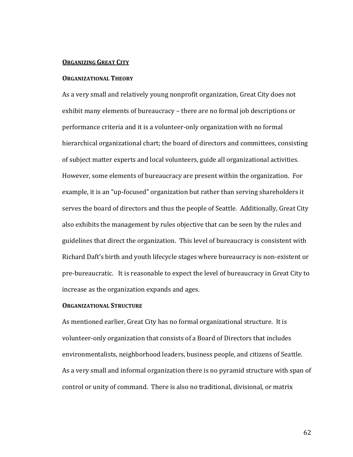#### **ORGANIZING GREAT CITY**

#### **ORGANIZATIONAL THEORY**

As a very small and relatively young nonprofit organization, Great City does not exhibit many elements of bureaucracy – there are no formal job descriptions or performance criteria and it is a volunteer-only organization with no formal hierarchical organizational chart; the board of directors and committees, consisting of subject matter experts and local volunteers, guide all organizational activities. However, some elements of bureaucracy are present within the organization. For example, it is an "up-focused" organization but rather than serving shareholders it serves the board of directors and thus the people of Seattle. Additionally, Great City also exhibits the management by rules objective that can be seen by the rules and guidelines that direct the organization. This level of bureaucracy is consistent with Richard Daft's birth and youth lifecycle stages where bureaucracy is non-existent or pre-bureaucratic. It is reasonable to expect the level of bureaucracy in Great City to increase as the organization expands and ages.

## **ORGANIZATIONAL STRUCTURE**

As mentioned earlier, Great City has no formal organizational structure. It is volunteer-only organization that consists of a Board of Directors that includes environmentalists, neighborhood leaders, business people, and citizens of Seattle. As a very small and informal organization there is no pyramid structure with span of control or unity of command. There is also no traditional, divisional, or matrix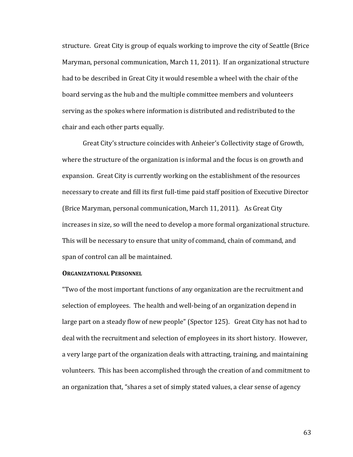structure. Great City is group of equals working to improve the city of Seattle (Brice Maryman, personal communication, March 11, 2011). If an organizational structure had to be described in Great City it would resemble a wheel with the chair of the board serving as the hub and the multiple committee members and volunteers serving as the spokes where information is distributed and redistributed to the chair and each other parts equally.

Great City's structure coincides with Anheier's Collectivity stage of Growth, where the structure of the organization is informal and the focus is on growth and expansion. Great City is currently working on the establishment of the resources necessary to create and fill its first full-time paid staff position of Executive Director (Brice Maryman, personal communication, March 11, 2011). As Great City increases in size, so will the need to develop a more formal organizational structure. This will be necessary to ensure that unity of command, chain of command, and span of control can all be maintained.

## **ORGANIZATIONAL PERSONNEL**

"Two of the most important functions of any organization are the recruitment and selection of employees. The health and well-being of an organization depend in large part on a steady flow of new people" (Spector 125). Great City has not had to deal with the recruitment and selection of employees in its short history. However, a very large part of the organization deals with attracting, training, and maintaining volunteers. This has been accomplished through the creation of and commitment to an organization that, "shares a set of simply stated values, a clear sense of agency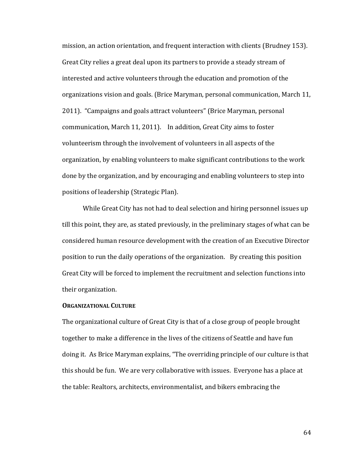mission, an action orientation, and frequent interaction with clients (Brudney 153). Great City relies a great deal upon its partners to provide a steady stream of interested and active volunteers through the education and promotion of the organizations vision and goals. (Brice Maryman, personal communication, March 11, 2011). "Campaigns and goals attract volunteers" (Brice Maryman, personal communication, March 11, 2011). In addition, Great City aims to foster volunteerism through the involvement of volunteers in all aspects of the organization, by enabling volunteers to make significant contributions to the work done by the organization, and by encouraging and enabling volunteers to step into positions of leadership (Strategic Plan).

While Great City has not had to deal selection and hiring personnel issues up till this point, they are, as stated previously, in the preliminary stages of what can be considered human resource development with the creation of an Executive Director position to run the daily operations of the organization. By creating this position Great City will be forced to implement the recruitment and selection functions into their organization.

## **ORGANIZATIONAL CULTURE**

The organizational culture of Great City is that of a close group of people brought together to make a difference in the lives of the citizens of Seattle and have fun doing it. As Brice Maryman explains, "The overriding principle of our culture is that this should be fun. We are very collaborative with issues. Everyone has a place at the table: Realtors, architects, environmentalist, and bikers embracing the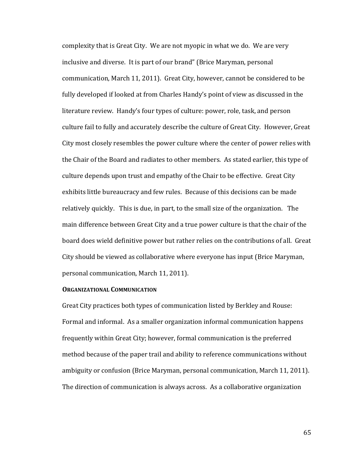complexity that is Great City. We are not myopic in what we do. We are very inclusive and diverse. It is part of our brand" (Brice Maryman, personal communication, March 11, 2011). Great City, however, cannot be considered to be fully developed if looked at from Charles Handy's point of view as discussed in the literature review. Handy's four types of culture: power, role, task, and person culture fail to fully and accurately describe the culture of Great City. However, Great City most closely resembles the power culture where the center of power relies with the Chair of the Board and radiates to other members. As stated earlier, this type of culture depends upon trust and empathy of the Chair to be effective. Great City exhibits little bureaucracy and few rules. Because of this decisions can be made relatively quickly. This is due, in part, to the small size of the organization. The main difference between Great City and a true power culture is that the chair of the board does wield definitive power but rather relies on the contributions of all. Great City should be viewed as collaborative where everyone has input (Brice Maryman, personal communication, March 11, 2011).

### **ORGANIZATIONAL COMMUNICATION**

Great City practices both types of communication listed by Berkley and Rouse: Formal and informal. As a smaller organization informal communication happens frequently within Great City; however, formal communication is the preferred method because of the paper trail and ability to reference communications without ambiguity or confusion (Brice Maryman, personal communication, March 11, 2011). The direction of communication is always across. As a collaborative organization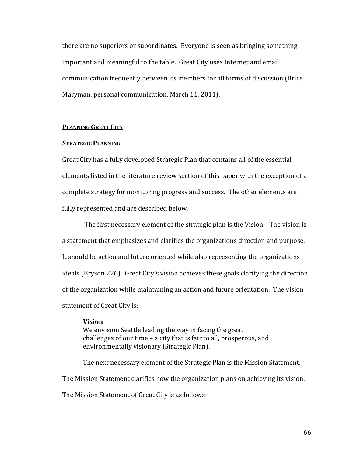there are no superiors or subordinates. Everyone is seen as bringing something important and meaningful to the table. Great City uses Internet and email communication frequently between its members for all forms of discussion (Brice Maryman, personal communication, March 11, 2011).

## **PLANNING GREAT CITY**

### **STRATEGIC PLANNING**

Great City has a fully developed Strategic Plan that contains all of the essential elements listed in the literature review section of this paper with the exception of a complete strategy for monitoring progress and success. The other elements are fully represented and are described below.

The first necessary element of the strategic plan is the Vision. The vision is a statement that emphasizes and clarifies the organizations direction and purpose. It should be action and future oriented while also representing the organizations ideals (Bryson 226). Great City's vision achieves these goals clarifying the direction of the organization while maintaining an action and future orientation. The vision statement of Great City is:

#### **Vision**

We envision Seattle leading the way in facing the great challenges of our time – a city that is fair to all, prosperous, and environmentally visionary (Strategic Plan).

The next necessary element of the Strategic Plan is the Mission Statement. The Mission Statement clarifies how the organization plans on achieving its vision. The Mission Statement of Great City is as follows: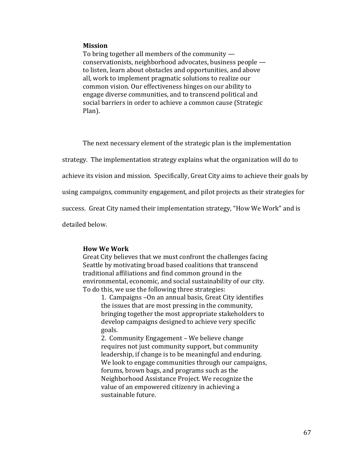## **Mission**

To bring together all members of the community conservationists, neighborhood advocates, business people to listen, learn about obstacles and opportunities, and above all, work to implement pragmatic solutions to realize our common vision. Our effectiveness hinges on our ability to engage diverse communities, and to transcend political and social barriers in order to achieve a common cause (Strategic Plan).

The next necessary element of the strategic plan is the implementation

strategy. The implementation strategy explains what the organization will do to

achieve its vision and mission. Specifically, Great City aims to achieve their goals by

using campaigns, community engagement, and pilot projects as their strategies for

success. Great City named their implementation strategy, "How We Work" and is

detailed below.

### **How We Work**

Great City believes that we must confront the challenges facing Seattle by motivating broad based coalitions that transcend traditional affiliations and find common ground in the environmental, economic, and social sustainability of our city. To do this, we use the following three strategies:

1. Campaigns –On an annual basis, Great City identifies the issues that are most pressing in the community, bringing together the most appropriate stakeholders to develop campaigns designed to achieve very specific goals.

2. Community Engagement – We believe change requires not just community support, but community leadership, if change is to be meaningful and enduring. We look to engage communities through our campaigns, forums, brown bags, and programs such as the Neighborhood Assistance Project. We recognize the value of an empowered citizenry in achieving a sustainable future.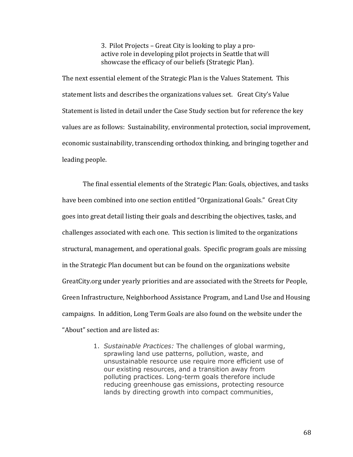3. Pilot Projects – Great City is looking to play a proactive role in developing pilot projects in Seattle that will showcase the efficacy of our beliefs (Strategic Plan).

The next essential element of the Strategic Plan is the Values Statement. This statement lists and describes the organizations values set. Great City's Value Statement is listed in detail under the Case Study section but for reference the key values are as follows: Sustainability, environmental protection, social improvement, economic sustainability, transcending orthodox thinking, and bringing together and leading people.

The final essential elements of the Strategic Plan: Goals, objectives, and tasks have been combined into one section entitled "Organizational Goals." Great City goes into great detail listing their goals and describing the objectives, tasks, and challenges associated with each one. This section is limited to the organizations structural, management, and operational goals. Specific program goals are missing in the Strategic Plan document but can be found on the organizations website GreatCity.org under yearly priorities and are associated with the Streets for People, Green Infrastructure, Neighborhood Assistance Program, and Land Use and Housing campaigns. In addition, Long Term Goals are also found on the website under the "About" section and are listed as:

> 1. *Sustainable Practices:* The challenges of global warming, sprawling land use patterns, pollution, waste, and unsustainable resource use require more efficient use of our existing resources, and a transition away from polluting practices. Long-term goals therefore include reducing greenhouse gas emissions, protecting resource lands by directing growth into compact communities,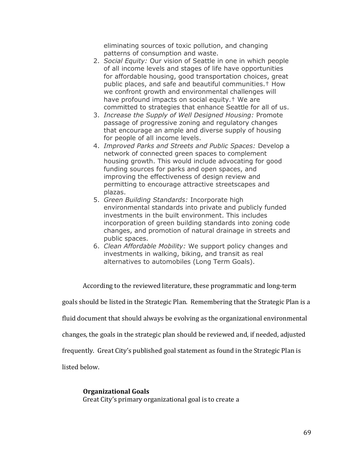eliminating sources of toxic pollution, and changing patterns of consumption and waste.

- 2. *Social Equity:* Our vision of Seattle in one in which people of all income levels and stages of life have opportunities for affordable housing, good transportation choices, great public places, and safe and beautiful communities.† How we confront growth and environmental challenges will have profound impacts on social equity.† We are committed to strategies that enhance Seattle for all of us.
- 3. *Increase the Supply of Well Designed Housing:* Promote passage of progressive zoning and regulatory changes that encourage an ample and diverse supply of housing for people of all income levels.
- 4. *Improved Parks and Streets and Public Spaces:* Develop a network of connected green spaces to complement housing growth. This would include advocating for good funding sources for parks and open spaces, and improving the effectiveness of design review and permitting to encourage attractive streetscapes and plazas.
- 5. *Green Building Standards:* Incorporate high environmental standards into private and publicly funded investments in the built environment. This includes incorporation of green building standards into zoning code changes, and promotion of natural drainage in streets and public spaces.
- 6. *Clean Affordable Mobility:* We support policy changes and investments in walking, biking, and transit as real alternatives to automobiles (Long Term Goals).

According to the reviewed literature, these programmatic and long-term

goals should be listed in the Strategic Plan. Remembering that the Strategic Plan is a

fluid document that should always be evolving as the organizational environmental

changes, the goals in the strategic plan should be reviewed and, if needed, adjusted

frequently. Great City's published goal statement as found in the Strategic Plan is

listed below.

### **Organizational Goals**

Great City's primary organizational goal is to create a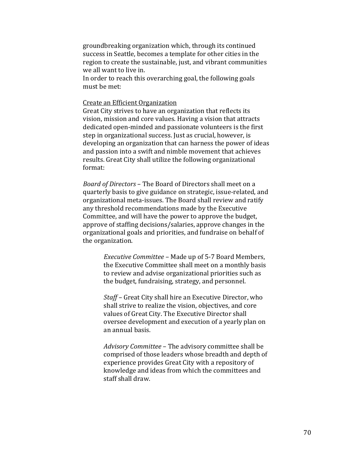groundbreaking organization which, through its continued success in Seattle, becomes a template for other cities in the region to create the sustainable, just, and vibrant communities we all want to live in.

In order to reach this overarching goal, the following goals must be met:

## Create an Efficient Organization

Great City strives to have an organization that reflects its vision, mission and core values. Having a vision that attracts dedicated open-minded and passionate volunteers is the first step in organizational success. Just as crucial, however, is developing an organization that can harness the power of ideas and passion into a swift and nimble movement that achieves results. Great City shall utilize the following organizational format:

*Board of Directors* – The Board of Directors shall meet on a quarterly basis to give guidance on strategic, issue-related, and organizational meta-issues. The Board shall review and ratify any threshold recommendations made by the Executive Committee, and will have the power to approve the budget, approve of staffing decisions/salaries, approve changes in the organizational goals and priorities, and fundraise on behalf of the organization.

> *Executive Committee* – Made up of 5-7 Board Members, the Executive Committee shall meet on a monthly basis to review and advise organizational priorities such as the budget, fundraising, strategy, and personnel.

> *Staff* – Great City shall hire an Executive Director, who shall strive to realize the vision, objectives, and core values of Great City. The Executive Director shall oversee development and execution of a yearly plan on an annual basis.

*Advisory Committee* – The advisory committee shall be comprised of those leaders whose breadth and depth of experience provides Great City with a repository of knowledge and ideas from which the committees and staff shall draw.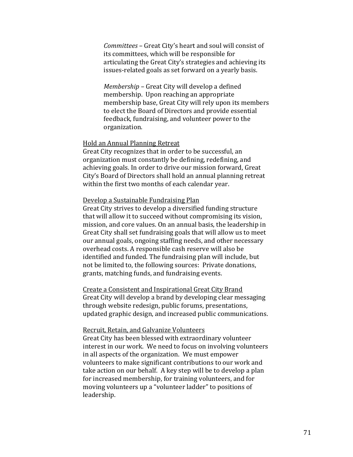*Committees* – Great City's heart and soul will consist of its committees, which will be responsible for articulating the Great City's strategies and achieving its issues-related goals as set forward on a yearly basis.

*Membership* – Great City will develop a defined membership. Upon reaching an appropriate membership base, Great City will rely upon its members to elect the Board of Directors and provide essential feedback, fundraising, and volunteer power to the organization.

### Hold an Annual Planning Retreat

Great City recognizes that in order to be successful, an organization must constantly be defining, redefining, and achieving goals. In order to drive our mission forward, Great City's Board of Directors shall hold an annual planning retreat within the first two months of each calendar year.

## Develop a Sustainable Fundraising Plan

Great City strives to develop a diversified funding structure that will allow it to succeed without compromising its vision, mission, and core values. On an annual basis, the leadership in Great City shall set fundraising goals that will allow us to meet our annual goals, ongoing staffing needs, and other necessary overhead costs. A responsible cash reserve will also be identified and funded. The fundraising plan will include, but not be limited to, the following sources: Private donations, grants, matching funds, and fundraising events.

Create a Consistent and Inspirational Great City Brand Great City will develop a brand by developing clear messaging through website redesign, public forums, presentations, updated graphic design, and increased public communications.

## Recruit, Retain, and Galvanize Volunteers

Great City has been blessed with extraordinary volunteer interest in our work. We need to focus on involving volunteers in all aspects of the organization. We must empower volunteers to make significant contributions to our work and take action on our behalf. A key step will be to develop a plan for increased membership, for training volunteers, and for moving volunteers up a "volunteer ladder" to positions of leadership.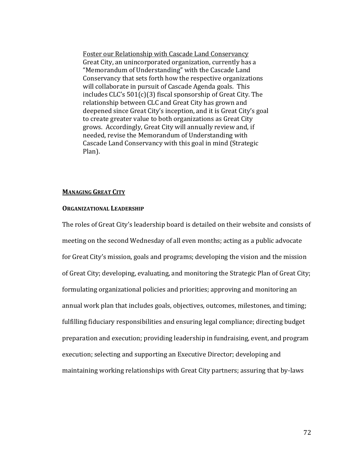Foster our Relationship with Cascade Land Conservancy Great City, an unincorporated organization, currently has a "Memorandum of Understanding" with the Cascade Land Conservancy that sets forth how the respective organizations will collaborate in pursuit of Cascade Agenda goals. This includes CLC's 501(c)(3) fiscal sponsorship of Great City. The relationship between CLC and Great City has grown and deepened since Great City's inception, and it is Great City's goal to create greater value to both organizations as Great City grows. Accordingly, Great City will annually review and, if needed, revise the Memorandum of Understanding with Cascade Land Conservancy with this goal in mind (Strategic Plan).

### **MANAGING GREAT CITY**

### **ORGANIZATIONAL LEADERSHIP**

The roles of Great City's leadership board is detailed on their website and consists of meeting on the second Wednesday of all even months; acting as a public advocate for Great City's mission, goals and programs; developing the vision and the mission of Great City; developing, evaluating, and monitoring the Strategic Plan of Great City; formulating organizational policies and priorities; approving and monitoring an annual work plan that includes goals, objectives, outcomes, milestones, and timing; fulfilling fiduciary responsibilities and ensuring legal compliance; directing budget preparation and execution; providing leadership in fundraising, event, and program execution; selecting and supporting an Executive Director; developing and maintaining working relationships with Great City partners; assuring that by-laws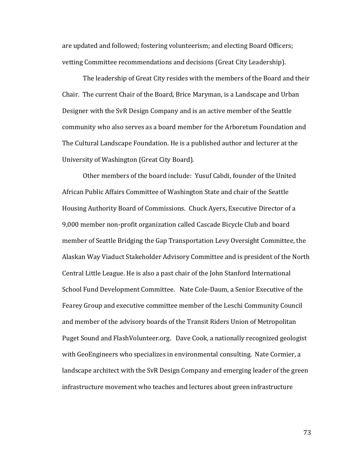are updated and followed; fostering volunteerism; and electing Board Officers; vetting Committee recommendations and decisions (Great City Leadership).

The leadership of Great City resides with the members of the Board and their Chair. The current Chair of the Board, Brice Maryman, is a Landscape and Urban Designer with the SvR Design Company and is an active member of the Seattle community who also serves as a board member for the Arboretum Foundation and The Cultural Landscape Foundation. He is a published author and lecturer at the University of Washington (Great City Board).

Other members of the board include: Yusuf Cabdi, founder of the United African Public Affairs Committee of Washington State and chair of the Seattle Housing Authority Board of Commissions. Chuck Ayers, Executive Director of a 9,000 member non-profit organization called Cascade Bicycle Club and board member of Seattle Bridging the Gap Transportation Levy Oversight Committee, the Alaskan Way Viaduct Stakeholder Advisory Committee and is president of the North Central Little League. He is also a past chair of the John Stanford International School Fund Development Committee. Nate Cole-Daum, a Senior Executive of the Fearey Group and executive committee member of the Leschi Community Council and member of the advisory boards of the Transit Riders Union of Metropolitan Puget Sound and FlashVolunteer.org. Dave Cook, a nationally recognized geologist with GeoEngineers who specializes in environmental consulting. Nate Cormier, a landscape architect with the SvR Design Company and emerging leader of the green infrastructure movement who teaches and lectures about green infrastructure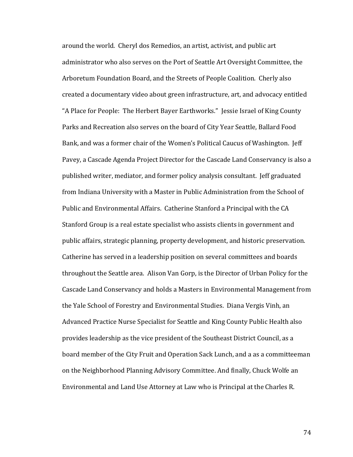around the world. Cheryl dos Remedios, an artist, activist, and public art administrator who also serves on the Port of Seattle Art Oversight Committee, the Arboretum Foundation Board, and the Streets of People Coalition. Cherly also created a documentary video about green infrastructure, art, and advocacy entitled "A Place for People: The Herbert Bayer Earthworks." Jessie Israel of King County Parks and Recreation also serves on the board of City Year Seattle, Ballard Food Bank, and was a former chair of the Women's Political Caucus of Washington. Jeff Pavey, a Cascade Agenda Project Director for the Cascade Land Conservancy is also a published writer, mediator, and former policy analysis consultant. Jeff graduated from Indiana University with a Master in Public Administration from the School of Public and Environmental Affairs. Catherine Stanford a Principal with the CA Stanford Group is a real estate specialist who assists clients in government and public affairs, strategic planning, property development, and historic preservation. Catherine has served in a leadership position on several committees and boards throughout the Seattle area. Alison Van Gorp, is the Director of Urban Policy for the Cascade Land Conservancy and holds a Masters in Environmental Management from the Yale School of Forestry and Environmental Studies. Diana Vergis Vinh, an Advanced Practice Nurse Specialist for Seattle and King County Public Health also provides leadership as the vice president of the Southeast District Council, as a board member of the City Fruit and Operation Sack Lunch, and a as a committeeman on the Neighborhood Planning Advisory Committee. And finally, Chuck Wolfe an Environmental and Land Use Attorney at Law who is Principal at the Charles R.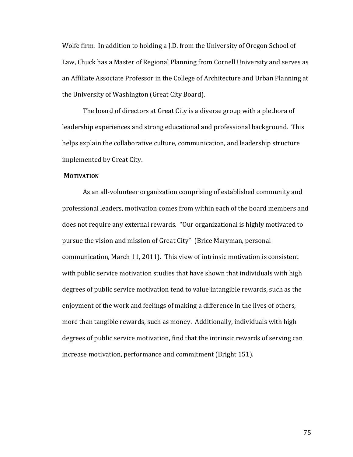Wolfe firm. In addition to holding a J.D. from the University of Oregon School of Law, Chuck has a Master of Regional Planning from Cornell University and serves as an Affiliate Associate Professor in the College of Architecture and Urban Planning at the University of Washington (Great City Board).

The board of directors at Great City is a diverse group with a plethora of leadership experiences and strong educational and professional background. This helps explain the collaborative culture, communication, and leadership structure implemented by Great City.

### **MOTIVATION**

As an all-volunteer organization comprising of established community and professional leaders, motivation comes from within each of the board members and does not require any external rewards. "Our organizational is highly motivated to pursue the vision and mission of Great City" (Brice Maryman, personal communication, March 11, 2011). This view of intrinsic motivation is consistent with public service motivation studies that have shown that individuals with high degrees of public service motivation tend to value intangible rewards, such as the enjoyment of the work and feelings of making a difference in the lives of others, more than tangible rewards, such as money. Additionally, individuals with high degrees of public service motivation, find that the intrinsic rewards of serving can increase motivation, performance and commitment (Bright 151).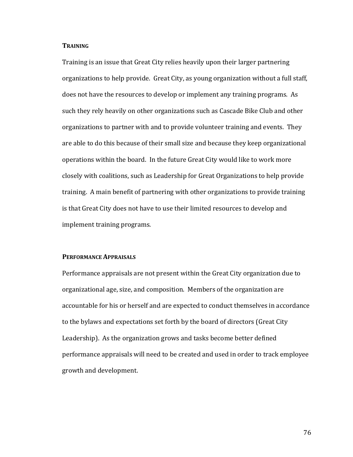# **TRAINING**

Training is an issue that Great City relies heavily upon their larger partnering organizations to help provide. Great City, as young organization without a full staff, does not have the resources to develop or implement any training programs. As such they rely heavily on other organizations such as Cascade Bike Club and other organizations to partner with and to provide volunteer training and events. They are able to do this because of their small size and because they keep organizational operations within the board. In the future Great City would like to work more closely with coalitions, such as Leadership for Great Organizations to help provide training. A main benefit of partnering with other organizations to provide training is that Great City does not have to use their limited resources to develop and implement training programs.

# **PERFORMANCE APPRAISALS**

Performance appraisals are not present within the Great City organization due to organizational age, size, and composition. Members of the organization are accountable for his or herself and are expected to conduct themselves in accordance to the bylaws and expectations set forth by the board of directors (Great City Leadership). As the organization grows and tasks become better defined performance appraisals will need to be created and used in order to track employee growth and development.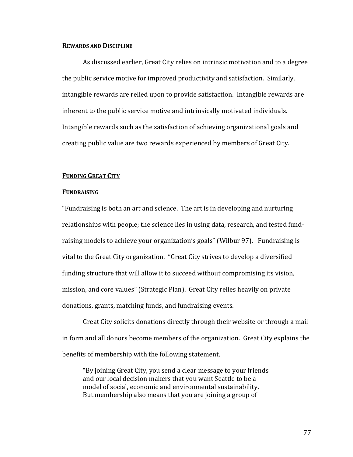# **REWARDS AND DISCIPLINE**

As discussed earlier, Great City relies on intrinsic motivation and to a degree the public service motive for improved productivity and satisfaction. Similarly, intangible rewards are relied upon to provide satisfaction. Intangible rewards are inherent to the public service motive and intrinsically motivated individuals. Intangible rewards such as the satisfaction of achieving organizational goals and creating public value are two rewards experienced by members of Great City.

#### **FUNDING GREAT CITY**

# **FUNDRAISING**

"Fundraising is both an art and science. The art is in developing and nurturing relationships with people; the science lies in using data, research, and tested fundraising models to achieve your organization's goals" (Wilbur 97). Fundraising is vital to the Great City organization. "Great City strives to develop a diversified funding structure that will allow it to succeed without compromising its vision, mission, and core values" (Strategic Plan). Great City relies heavily on private donations, grants, matching funds, and fundraising events.

Great City solicits donations directly through their website or through a mail in form and all donors become members of the organization. Great City explains the benefits of membership with the following statement,

"By joining Great City, you send a clear message to your friends and our local decision makers that you want Seattle to be a model of social, economic and environmental sustainability. But membership also means that you are joining a group of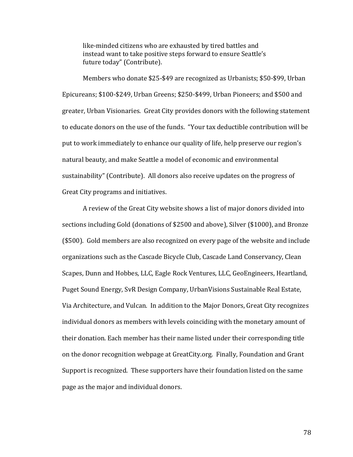like-minded citizens who are exhausted by tired battles and instead want to take positive steps forward to ensure Seattle's future today" (Contribute).

Members who donate \$25-\$49 are recognized as Urbanists; \$50-\$99, Urban Epicureans; \$100-\$249, Urban Greens; \$250-\$499, Urban Pioneers; and \$500 and greater, Urban Visionaries. Great City provides donors with the following statement to educate donors on the use of the funds. "Your tax deductible contribution will be put to work immediately to enhance our quality of life, help preserve our region's natural beauty, and make Seattle a model of economic and environmental sustainability" (Contribute). All donors also receive updates on the progress of Great City programs and initiatives.

A review of the Great City website shows a list of major donors divided into sections including Gold (donations of \$2500 and above), Silver (\$1000), and Bronze (\$500). Gold members are also recognized on every page of the website and include organizations such as the Cascade Bicycle Club, Cascade Land Conservancy, Clean Scapes, Dunn and Hobbes, LLC, Eagle Rock Ventures, LLC, GeoEngineers, Heartland, Puget Sound Energy, SvR Design Company, UrbanVisions Sustainable Real Estate, Via Architecture, and Vulcan. In addition to the Major Donors, Great City recognizes individual donors as members with levels coinciding with the monetary amount of their donation. Each member has their name listed under their corresponding title on the donor recognition webpage at GreatCity.org. Finally, Foundation and Grant Support is recognized. These supporters have their foundation listed on the same page as the major and individual donors.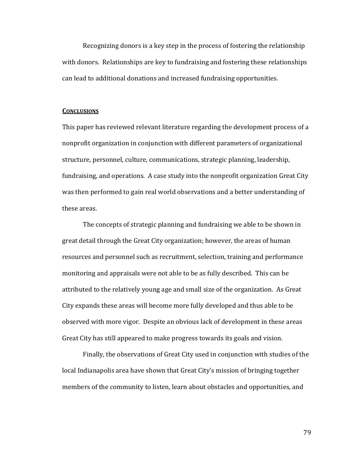Recognizing donors is a key step in the process of fostering the relationship with donors. Relationships are key to fundraising and fostering these relationships can lead to additional donations and increased fundraising opportunities.

#### **CONCLUSIONS**

This paper has reviewed relevant literature regarding the development process of a nonprofit organization in conjunction with different parameters of organizational structure, personnel, culture, communications, strategic planning, leadership, fundraising, and operations. A case study into the nonprofit organization Great City was then performed to gain real world observations and a better understanding of these areas.

The concepts of strategic planning and fundraising we able to be shown in great detail through the Great City organization; however, the areas of human resources and personnel such as recruitment, selection, training and performance monitoring and appraisals were not able to be as fully described. This can be attributed to the relatively young age and small size of the organization. As Great City expands these areas will become more fully developed and thus able to be observed with more vigor. Despite an obvious lack of development in these areas Great City has still appeared to make progress towards its goals and vision.

Finally, the observations of Great City used in conjunction with studies of the local Indianapolis area have shown that Great City's mission of bringing together members of the community to listen, learn about obstacles and opportunities, and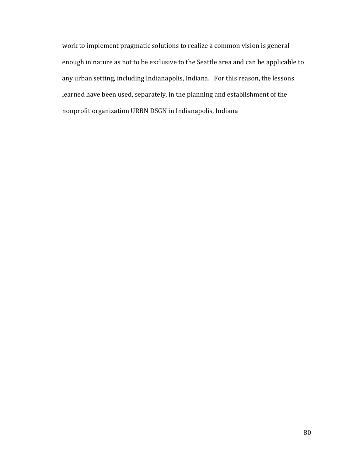work to implement pragmatic solutions to realize a common vision is general enough in nature as not to be exclusive to the Seattle area and can be applicable to any urban setting, including Indianapolis, Indiana. For this reason, the lessons learned have been used, separately, in the planning and establishment of the nonprofit organization URBN DSGN in Indianapolis, Indiana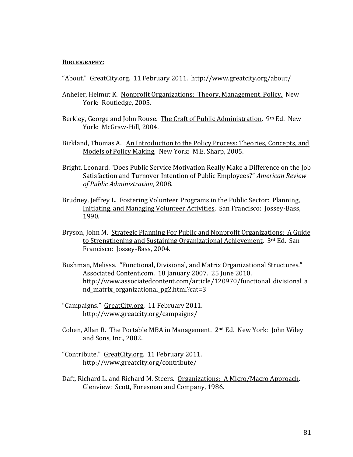### **BIBLIOGRAPHY:**

"About." GreatCity.org. 11 February 2011. http://www.greatcity.org/about/

- Anheier, Helmut K. Nonprofit Organizations: Theory, Management, Policy. New York: Routledge, 2005.
- Berkley, George and John Rouse. The Craft of Public Administration. 9th Ed. New York: McGraw-Hill, 2004.
- Birkland, Thomas A. An Introduction to the Policy Process: Theories, Concepts, and Models of Policy Making*.* New York: M.E. Sharp, 2005.
- Bright, Leonard. "Does Public Service Motivation Really Make a Difference on the Job Satisfaction and Turnover Intention of Public Employees?" *American Review of Public Administration*, 2008.
- Brudney, Jeffrey L. Fostering Volunteer Programs in the Public Sector: Planning, Initiating, and Managing Volunteer Activities. San Francisco: Jossey-Bass, 1990.
- Bryson, John M. Strategic Planning For Public and Nonprofit Organizations: A Guide to Strengthening and Sustaining Organizational Achievement. 3rd Ed. San Francisco: Jossey-Bass, 2004.
- Bushman, Melissa. "Functional, Divisional, and Matrix Organizational Structures." Associated Content.com. 18 January 2007. 25 June 2010. http://www.associatedcontent.com/article/120970/functional\_divisional\_a nd matrix organizational pg2.html?cat=3
- "Campaigns." GreatCity.org. 11 February 2011. http://www.greatcity.org/campaigns/
- Cohen, Allan R. The Portable MBA in Management. 2nd Ed. New York: John Wiley and Sons, Inc., 2002.
- "Contribute." GreatCity.org. 11 February 2011. http://www.greatcity.org/contribute/
- Daft, Richard L. and Richard M. Steers. Organizations: A Micro/Macro Approach. Glenview: Scott, Foresman and Company, 1986.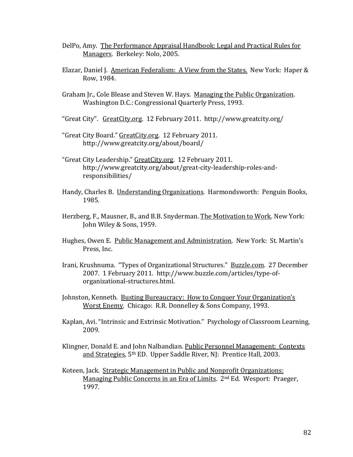- DelPo, Amy. The Performance Appraisal Handbook: Legal and Practical Rules for Managers. Berkeley: Nolo, 2005.
- Elazar, Daniel J. American Federalism: A View from the States. New York: Haper & Row, 1984.
- Graham Jr., Cole Blease and Steven W. Hays. Managing the Public Organization. Washington D.C.: Congressional Quarterly Press, 1993.
- "Great City". GreatCity.org. 12 February 2011. http://www.greatcity.org/
- "Great City Board." GreatCity.org. 12 February 2011. http://www.greatcity.org/about/board/
- "Great City Leadership." GreatCity.org. 12 February 2011. http://www.greatcity.org/about/great-city-leadership-roles-andresponsibilities/
- Handy, Charles B. Understanding Organizations*.* Harmondsworth: Penguin Books, 1985.
- Herzberg, F., Mausner, B., and B.B. Snyderman. The Motivation to Work. New York: John Wiley & Sons, 1959.
- Hughes, Owen E. Public Management and Administration*.* New York: St. Martin's Press, Inc.
- Irani, Krushnuma. "Types of Organizational Structures." Buzzle.com. 27 December 2007. 1 February 2011. http://www.buzzle.com/articles/type-oforganizational-structures.html.
- Johnston, Kenneth. Busting Bureaucracy: How to Conquer Your Organization's Worst Enemy*.* Chicago: R.R. Donnelley & Sons Company, 1993.
- Kaplan, Avi. "Intrinsic and Extrinsic Motivation." Psychology of Classroom Learning, 2009.
- Klingner, Donald E. and John Nalbandian. Public Personnel Management: Contexts and Strategies*,* 5th ED. Upper Saddle River, NJ: Prentice Hall, 2003.
- Koteen, Jack. Strategic Management in Public and Nonprofit Organizations: Managing Public Concerns in an Era of Limits. 2nd Ed. Wesport: Praeger, 1997.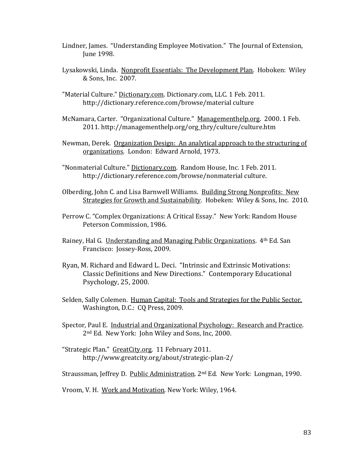- Lindner, James. "Understanding Employee Motivation." The Journal of Extension, June 1998.
- Lysakowski, Linda. Nonprofit Essentials: The Development Plan. Hoboken: Wiley & Sons, Inc. 2007.
- "Material Culture." Dictionary.com. Dictionary.com, LLC. 1 Feb. 2011. http://dictionary.reference.com/browse/material culture
- McNamara, Carter. "Organizational Culture." Managementhelp.org. 2000. 1 Feb. 2011. http://managementhelp.org/org\_thry/culture/culture.htm
- Newman, Derek. Organization Design: An analytical approach to the structuring of organizations*.* London: Edward Arnold, 1973.
- "Nonmaterial Culture." Dictionary.com. Random House, Inc. 1 Feb. 2011. http://dictionary.reference.com/browse/nonmaterial culture.
- Olberding, John C. and Lisa Barnwell Williams. Building Strong Nonprofits: New Strategies for Growth and Sustainability. Hobeken: Wiley & Sons, Inc. 2010.
- Perrow C. "Complex Organizations: A Critical Essay." New York: Random House Peterson Commission, 1986.
- Rainey, Hal G. Understanding and Managing Public Organizations. 4<sup>th</sup> Ed. San Francisco: Jossey-Ross, 2009.
- Ryan, M. Richard and Edward L. Deci. "Intrinsic and Extrinsic Motivations: Classic Definitions and New Directions." Contemporary Educational Psychology, 25, 2000.
- Selden, Sally Colemen. Human Capital: Tools and Strategies for the Public Sector. Washington, D.C.: CQ Press, 2009.
- Spector, Paul E. Industrial and Organizational Psychology: Research and Practice. 2nd Ed. New York: John Wiley and Sons, Inc, 2000.
- "Strategic Plan." GreatCity.org. 11 February 2011. http://www.greatcity.org/about/strategic-plan-2/

Straussman, Jeffrey D. Public Administration*.* 2nd Ed*.* New York: Longman, 1990.

Vroom, V. H. Work and Motivation*.* New York: Wiley, 1964.